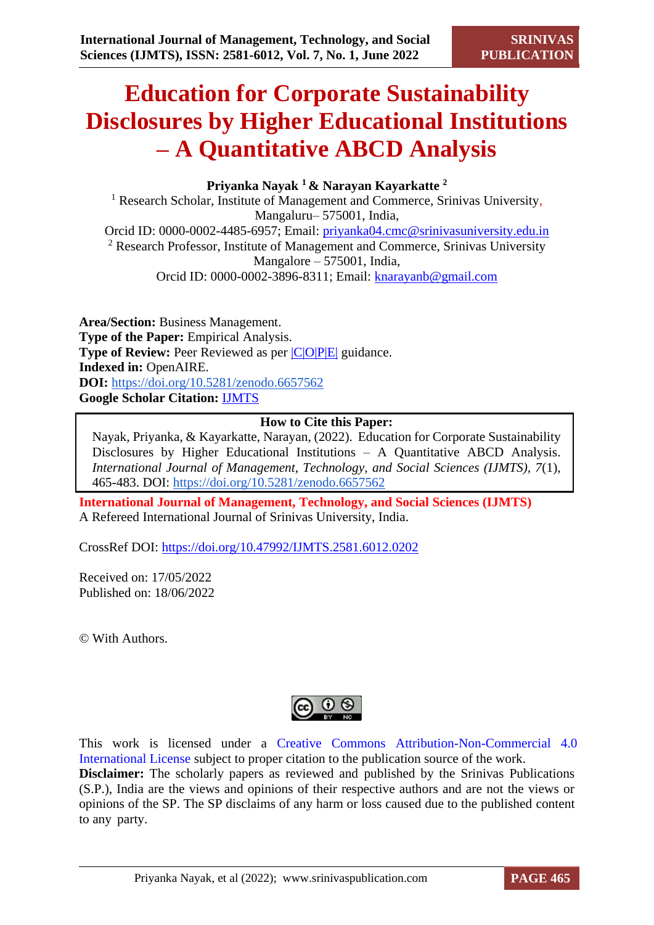# **Education for Corporate Sustainability Disclosures by Higher Educational Institutions – A Quantitative ABCD Analysis**

**Priyanka Nayak <sup>1</sup>& Narayan Kayarkatte <sup>2</sup>**

<sup>1</sup> Research Scholar, Institute of Management and Commerce, Srinivas University, Mangaluru– 575001, India, Orcid ID: 0000-0002-4485-6957; Email: [priyanka04.cmc@srinivasuniversity.edu.in](mailto:priyanka04.cmc@srinivasuniversity.edu.in) <sup>2</sup> Research Professor, Institute of Management and Commerce, Srinivas University Mangalore – 575001, India, Orcid ID: 0000-0002-3896-8311; Email: [knarayanb@gmail.com](mailto:knarayanb@gmail.com)

**Area/Section:** Business Management. **Type of the Paper:** Empirical Analysis. **Type of Review:** Peer Reviewed as per  $|C|O||P|E|$  guidance. **Indexed in:** OpenAIRE. **DOI:** <https://doi.org/10.5281/zenodo.6657562> **Google Scholar Citation:** [IJMTS](https://scholar.google.com/citations?user=bphF0BQAAAAJ)

#### **How to Cite this Paper:**

Nayak, Priyanka, & Kayarkatte, Narayan, (2022). Education for Corporate Sustainability Disclosures by Higher Educational Institutions – A Quantitative ABCD Analysis. *International Journal of Management, Technology, and Social Sciences (IJMTS), 7*(1), 465-483. DOI:<https://doi.org/10.5281/zenodo.6657562>

**International Journal of Management, Technology, and Social Sciences (IJMTS)** A Refereed International Journal of Srinivas University, India.

CrossRef DOI: [https://doi.org/10.47992/IJMTS.2581.6012.0202](https://search.crossref.org/?q=10.47992%2FIJMTS.2581.6012.0202&from_ui=yes)

Received on: 17/05/2022 Published on: 18/06/2022

© With Authors.

This work is licensed under a Creative Commons Attribution-Non-Commercial 4.0 International License subject to proper citation to the publication source of the work. **Disclaimer:** The scholarly papers as reviewed and published by the Srinivas Publications (S.P.), India are the views and opinions of their respective authors and are not the views or opinions of the SP. The SP disclaims of any harm or loss caused due to the published content to any party.

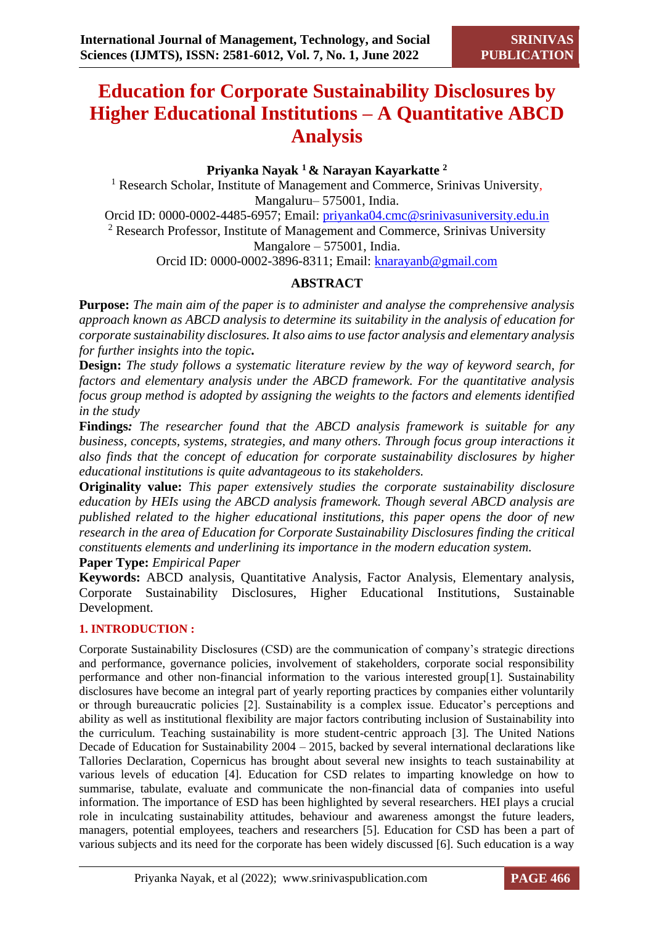# **Education for Corporate Sustainability Disclosures by Higher Educational Institutions – A Quantitative ABCD Analysis**

### **Priyanka Nayak <sup>1</sup>& Narayan Kayarkatte <sup>2</sup>**

<sup>1</sup> Research Scholar, Institute of Management and Commerce, Srinivas University, Mangaluru– 575001, India. Orcid ID: 0000-0002-4485-6957; Email: [priyanka04.cmc@srinivasuniversity.edu.in](mailto:priyanka04.cmc@srinivasuniversity.edu.in) <sup>2</sup> Research Professor, Institute of Management and Commerce, Srinivas University Mangalore – 575001, India. Orcid ID: 0000-0002-3896-8311; Email: [knarayanb@gmail.com](mailto:knarayanb@gmail.com)

# **ABSTRACT**

**Purpose:** *The main aim of the paper is to administer and analyse the comprehensive analysis approach known as ABCD analysis to determine its suitability in the analysis of education for corporate sustainability disclosures. It also aims to use factor analysis and elementary analysis for further insights into the topic.*

**Design:** *The study follows a systematic literature review by the way of keyword search, for factors and elementary analysis under the ABCD framework. For the quantitative analysis focus group method is adopted by assigning the weights to the factors and elements identified in the study*

**Findings***: The researcher found that the ABCD analysis framework is suitable for any business, concepts, systems, strategies, and many others. Through focus group interactions it also finds that the concept of education for corporate sustainability disclosures by higher educational institutions is quite advantageous to its stakeholders.*

**Originality value:** *This paper extensively studies the corporate sustainability disclosure education by HEIs using the ABCD analysis framework. Though several ABCD analysis are published related to the higher educational institutions, this paper opens the door of new research in the area of Education for Corporate Sustainability Disclosures finding the critical constituents elements and underlining its importance in the modern education system.*

**Paper Type:** *Empirical Paper*

**Keywords:** ABCD analysis, Quantitative Analysis, Factor Analysis, Elementary analysis, Corporate Sustainability Disclosures, Higher Educational Institutions, Sustainable Development.

#### **1. INTRODUCTION :**

Corporate Sustainability Disclosures (CSD) are the communication of company's strategic directions and performance, governance policies, involvement of stakeholders, corporate social responsibility performance and other non-financial information to the various interested group[1]. Sustainability disclosures have become an integral part of yearly reporting practices by companies either voluntarily or through bureaucratic policies [2]. Sustainability is a complex issue. Educator's perceptions and ability as well as institutional flexibility are major factors contributing inclusion of Sustainability into the curriculum. Teaching sustainability is more student-centric approach [3]. The United Nations Decade of Education for Sustainability 2004 – 2015, backed by several international declarations like Tallories Declaration, Copernicus has brought about several new insights to teach sustainability at various levels of education [4]. Education for CSD relates to imparting knowledge on how to summarise, tabulate, evaluate and communicate the non-financial data of companies into useful information. The importance of ESD has been highlighted by several researchers. HEI plays a crucial role in inculcating sustainability attitudes, behaviour and awareness amongst the future leaders, managers, potential employees, teachers and researchers [5]. Education for CSD has been a part of various subjects and its need for the corporate has been widely discussed [6]. Such education is a way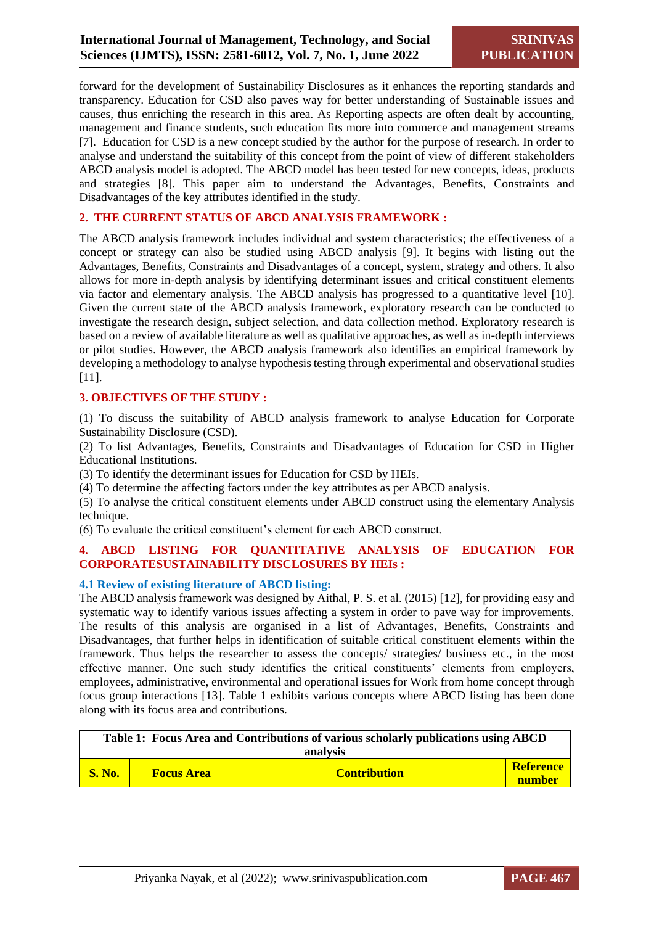forward for the development of Sustainability Disclosures as it enhances the reporting standards and transparency. Education for CSD also paves way for better understanding of Sustainable issues and causes, thus enriching the research in this area. As Reporting aspects are often dealt by accounting, management and finance students, such education fits more into commerce and management streams [7]. Education for CSD is a new concept studied by the author for the purpose of research. In order to analyse and understand the suitability of this concept from the point of view of different stakeholders ABCD analysis model is adopted. The ABCD model has been tested for new concepts, ideas, products and strategies [8]. This paper aim to understand the Advantages, Benefits, Constraints and Disadvantages of the key attributes identified in the study.

#### **2. THE CURRENT STATUS OF ABCD ANALYSIS FRAMEWORK :**

The ABCD analysis framework includes individual and system characteristics; the effectiveness of a concept or strategy can also be studied using ABCD analysis [9]. It begins with listing out the Advantages, Benefits, Constraints and Disadvantages of a concept, system, strategy and others. It also allows for more in-depth analysis by identifying determinant issues and critical constituent elements via factor and elementary analysis. The ABCD analysis has progressed to a quantitative level [10]. Given the current state of the ABCD analysis framework, exploratory research can be conducted to investigate the research design, subject selection, and data collection method. Exploratory research is based on a review of available literature as well as qualitative approaches, as well as in-depth interviews or pilot studies. However, the ABCD analysis framework also identifies an empirical framework by developing a methodology to analyse hypothesis testing through experimental and observational studies [11].

#### **3. OBJECTIVES OF THE STUDY :**

(1) To discuss the suitability of ABCD analysis framework to analyse Education for Corporate Sustainability Disclosure (CSD).

(2) To list Advantages, Benefits, Constraints and Disadvantages of Education for CSD in Higher Educational Institutions.

(3) To identify the determinant issues for Education for CSD by HEIs.

(4) To determine the affecting factors under the key attributes as per ABCD analysis.

(5) To analyse the critical constituent elements under ABCD construct using the elementary Analysis technique.

(6) To evaluate the critical constituent's element for each ABCD construct.

#### **4. ABCD LISTING FOR QUANTITATIVE ANALYSIS OF EDUCATION FOR CORPORATESUSTAINABILITY DISCLOSURES BY HEIs :**

#### **4.1 Review of existing literature of ABCD listing:**

The ABCD analysis framework was designed by Aithal, P. S. et al. (2015) [12], for providing easy and systematic way to identify various issues affecting a system in order to pave way for improvements. The results of this analysis are organised in a list of Advantages, Benefits, Constraints and Disadvantages, that further helps in identification of suitable critical constituent elements within the framework. Thus helps the researcher to assess the concepts/ strategies/ business etc., in the most effective manner. One such study identifies the critical constituents' elements from employers, employees, administrative, environmental and operational issues for Work from home concept through focus group interactions [13]. Table 1 exhibits various concepts where ABCD listing has been done along with its focus area and contributions.

| Table 1: Focus Area and Contributions of various scholarly publications using ABCD |                   |                     |                     |  |  |  |
|------------------------------------------------------------------------------------|-------------------|---------------------|---------------------|--|--|--|
| analysis                                                                           |                   |                     |                     |  |  |  |
| <b>S. No.</b>                                                                      | <b>Focus Area</b> | <b>Contribution</b> | Reference<br>number |  |  |  |

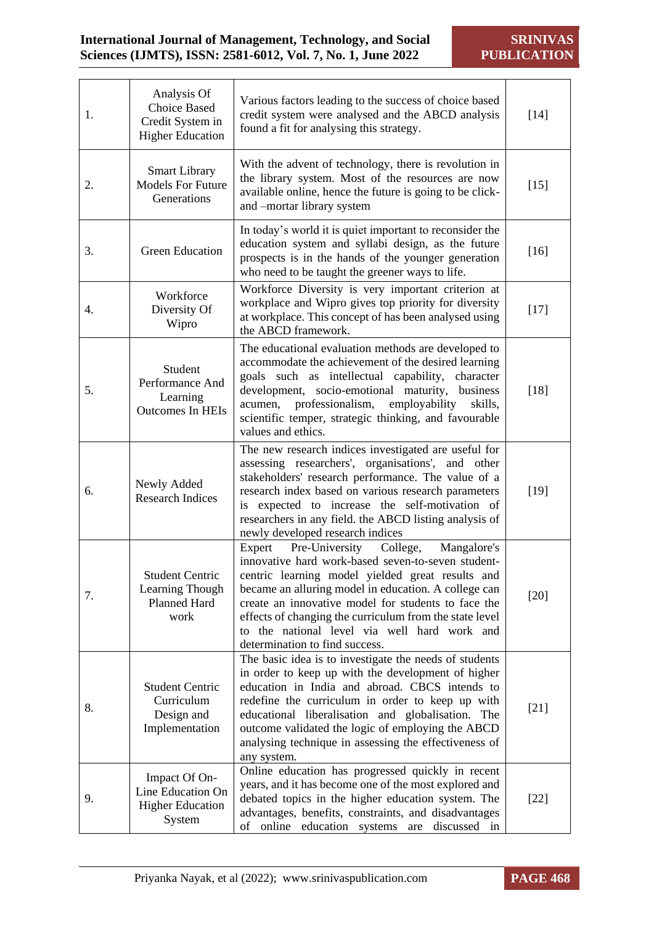| 1. | Analysis Of<br><b>Choice Based</b><br>Credit System in<br><b>Higher Education</b> | Various factors leading to the success of choice based<br>credit system were analysed and the ABCD analysis<br>found a fit for analysing this strategy.                                                                                                                                                                                                                                                                   | $[14]$ |
|----|-----------------------------------------------------------------------------------|---------------------------------------------------------------------------------------------------------------------------------------------------------------------------------------------------------------------------------------------------------------------------------------------------------------------------------------------------------------------------------------------------------------------------|--------|
| 2. | <b>Smart Library</b><br><b>Models For Future</b><br>Generations                   | With the advent of technology, there is revolution in<br>the library system. Most of the resources are now<br>available online, hence the future is going to be click-<br>and -mortar library system                                                                                                                                                                                                                      | $[15]$ |
| 3. | <b>Green Education</b>                                                            | In today's world it is quiet important to reconsider the<br>education system and syllabi design, as the future<br>prospects is in the hands of the younger generation<br>who need to be taught the greener ways to life.                                                                                                                                                                                                  | $[16]$ |
| 4. | Workforce<br>Diversity Of<br>Wipro                                                | Workforce Diversity is very important criterion at<br>workplace and Wipro gives top priority for diversity<br>at workplace. This concept of has been analysed using<br>the ABCD framework.                                                                                                                                                                                                                                | $[17]$ |
| 5. | Student<br>Performance And<br>Learning<br><b>Outcomes In HEIs</b>                 | The educational evaluation methods are developed to<br>accommodate the achievement of the desired learning<br>goals such as intellectual capability, character<br>development, socio-emotional maturity, business<br>professionalism,<br>employability<br>acumen,<br>skills,<br>scientific temper, strategic thinking, and favourable<br>values and ethics.                                                               | $[18]$ |
| 6. | Newly Added<br><b>Research Indices</b>                                            | The new research indices investigated are useful for<br>assessing researchers', organisations', and other<br>stakeholders' research performance. The value of a<br>research index based on various research parameters<br>is expected to increase the self-motivation of<br>researchers in any field. the ABCD listing analysis of<br>newly developed research indices                                                    | $[19]$ |
| 7. | <b>Student Centric</b><br>Learning Though<br>Planned Hard<br>work                 | Pre-University<br>College,<br>Mangalore's<br>Expert<br>innovative hard work-based seven-to-seven student-<br>centric learning model yielded great results and<br>became an alluring model in education. A college can<br>create an innovative model for students to face the<br>effects of changing the curriculum from the state level<br>to the national level via well hard work and<br>determination to find success. | $[20]$ |
| 8. | <b>Student Centric</b><br>Curriculum<br>Design and<br>Implementation              | The basic idea is to investigate the needs of students<br>in order to keep up with the development of higher<br>education in India and abroad. CBCS intends to<br>redefine the curriculum in order to keep up with<br>educational liberalisation and globalisation.<br>The<br>outcome validated the logic of employing the ABCD<br>analysing technique in assessing the effectiveness of<br>any system.                   | $[21]$ |
| 9. | Impact Of On-<br>Line Education On<br><b>Higher Education</b><br>System           | Online education has progressed quickly in recent<br>years, and it has become one of the most explored and<br>debated topics in the higher education system. The<br>advantages, benefits, constraints, and disadvantages<br>of online education systems are discussed in                                                                                                                                                  | $[22]$ |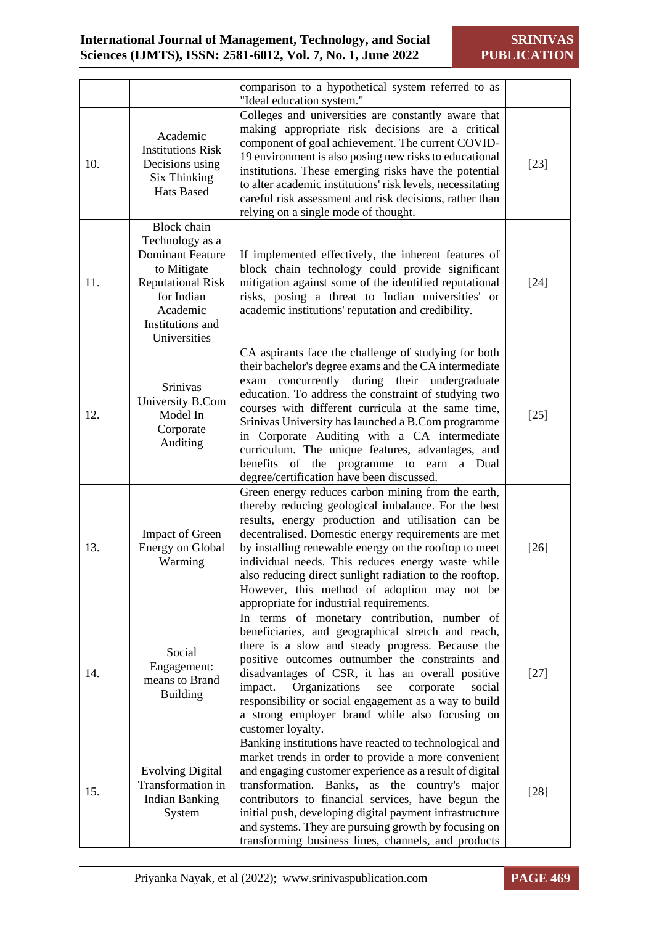|     |                                                                                                                                                                           | comparison to a hypothetical system referred to as                                                                                                                                                                                                                                                                                                                                                                                                                                                                                |        |
|-----|---------------------------------------------------------------------------------------------------------------------------------------------------------------------------|-----------------------------------------------------------------------------------------------------------------------------------------------------------------------------------------------------------------------------------------------------------------------------------------------------------------------------------------------------------------------------------------------------------------------------------------------------------------------------------------------------------------------------------|--------|
| 10. | Academic<br><b>Institutions Risk</b><br>Decisions using<br><b>Six Thinking</b><br>Hats Based                                                                              | "Ideal education system."<br>Colleges and universities are constantly aware that<br>making appropriate risk decisions are a critical<br>component of goal achievement. The current COVID-<br>19 environment is also posing new risks to educational<br>institutions. These emerging risks have the potential<br>to alter academic institutions' risk levels, necessitating<br>careful risk assessment and risk decisions, rather than<br>relying on a single mode of thought.                                                     | $[23]$ |
| 11. | <b>Block</b> chain<br>Technology as a<br><b>Dominant Feature</b><br>to Mitigate<br><b>Reputational Risk</b><br>for Indian<br>Academic<br>Institutions and<br>Universities | If implemented effectively, the inherent features of<br>block chain technology could provide significant<br>mitigation against some of the identified reputational<br>risks, posing a threat to Indian universities' or<br>academic institutions' reputation and credibility.                                                                                                                                                                                                                                                     | $[24]$ |
| 12. | Srinivas<br>University B.Com<br>Model In<br>Corporate<br>Auditing                                                                                                         | CA aspirants face the challenge of studying for both<br>their bachelor's degree exams and the CA intermediate<br>exam concurrently during their undergraduate<br>education. To address the constraint of studying two<br>courses with different curricula at the same time,<br>Srinivas University has launched a B.Com programme<br>in Corporate Auditing with a CA intermediate<br>curriculum. The unique features, advantages, and<br>benefits of the programme to earn<br>a Dual<br>degree/certification have been discussed. | $[25]$ |
| 13. | <b>Impact of Green</b><br><b>Energy on Global</b><br>Warming                                                                                                              | Green energy reduces carbon mining from the earth,<br>thereby reducing geological imbalance. For the best<br>results, energy production and utilisation can be<br>decentralised. Domestic energy requirements are met<br>by installing renewable energy on the rooftop to meet<br>individual needs. This reduces energy waste while<br>also reducing direct sunlight radiation to the rooftop.<br>However, this method of adoption may not be<br>appropriate for industrial requirements.                                         | $[26]$ |
| 14. | Social<br>Engagement:<br>means to Brand<br><b>Building</b>                                                                                                                | In terms of monetary contribution, number of<br>beneficiaries, and geographical stretch and reach,<br>there is a slow and steady progress. Because the<br>positive outcomes outnumber the constraints and<br>disadvantages of CSR, it has an overall positive<br>impact.<br>Organizations<br>see<br>corporate<br>social<br>responsibility or social engagement as a way to build<br>a strong employer brand while also focusing on<br>customer loyalty.                                                                           | $[27]$ |
| 15. | <b>Evolving Digital</b><br>Transformation in<br><b>Indian Banking</b><br>System                                                                                           | Banking institutions have reacted to technological and<br>market trends in order to provide a more convenient<br>and engaging customer experience as a result of digital<br>transformation. Banks, as the country's major<br>contributors to financial services, have begun the<br>initial push, developing digital payment infrastructure<br>and systems. They are pursuing growth by focusing on<br>transforming business lines, channels, and products                                                                         | $[28]$ |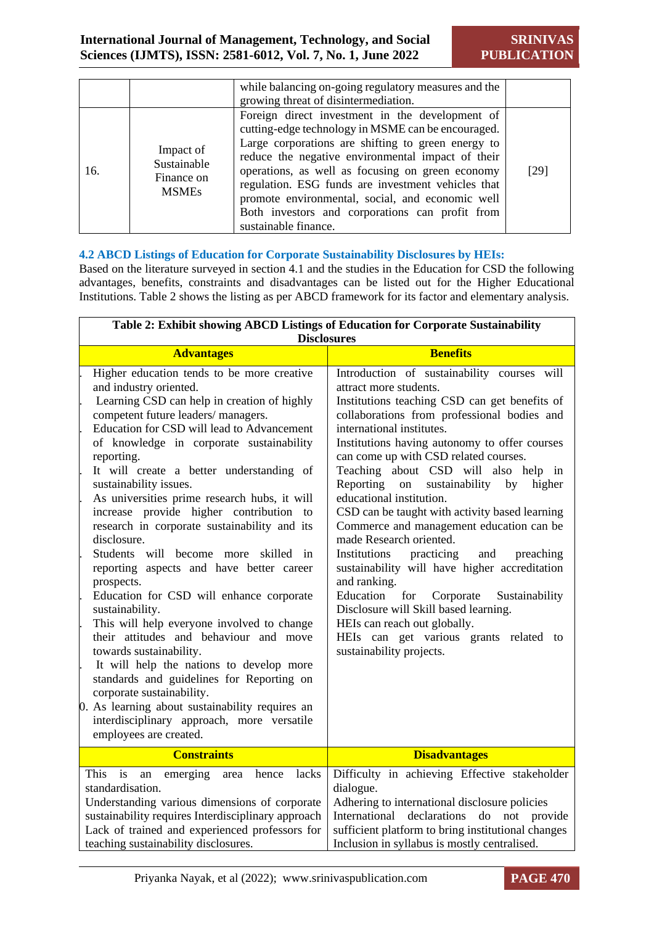|     |                                                        | while balancing on-going regulatory measures and the<br>growing threat of disintermediation.                                                                                                                                                                                                                                                                                                                                                              |      |
|-----|--------------------------------------------------------|-----------------------------------------------------------------------------------------------------------------------------------------------------------------------------------------------------------------------------------------------------------------------------------------------------------------------------------------------------------------------------------------------------------------------------------------------------------|------|
| 16. | Impact of<br>Sustainable<br>Finance on<br><b>MSMEs</b> | Foreign direct investment in the development of<br>cutting-edge technology in MSME can be encouraged.<br>Large corporations are shifting to green energy to<br>reduce the negative environmental impact of their<br>operations, as well as focusing on green economy<br>regulation. ESG funds are investment vehicles that<br>promote environmental, social, and economic well<br>Both investors and corporations can profit from<br>sustainable finance. | [29] |

#### **4.2 ABCD Listings of Education for Corporate Sustainability Disclosures by HEIs:**

Based on the literature surveyed in section 4.1 and the studies in the Education for CSD the following advantages, benefits, constraints and disadvantages can be listed out for the Higher Educational Institutions. Table 2 shows the listing as per ABCD framework for its factor and elementary analysis.

| Table 2: Exhibit showing ABCD Listings of Education for Corporate Sustainability<br><b>Disclosures</b>                                                                                                                                                                                                                                                                                                                                                                                                                                                                                                                                                                                                                                                                                                                                                                                                                                                                                                                                  |                                                                                                                                                                                                                                                                                                                                                                                                                                                                                                                                                                                                                                                                                                                                                                                                                                                            |  |  |  |
|-----------------------------------------------------------------------------------------------------------------------------------------------------------------------------------------------------------------------------------------------------------------------------------------------------------------------------------------------------------------------------------------------------------------------------------------------------------------------------------------------------------------------------------------------------------------------------------------------------------------------------------------------------------------------------------------------------------------------------------------------------------------------------------------------------------------------------------------------------------------------------------------------------------------------------------------------------------------------------------------------------------------------------------------|------------------------------------------------------------------------------------------------------------------------------------------------------------------------------------------------------------------------------------------------------------------------------------------------------------------------------------------------------------------------------------------------------------------------------------------------------------------------------------------------------------------------------------------------------------------------------------------------------------------------------------------------------------------------------------------------------------------------------------------------------------------------------------------------------------------------------------------------------------|--|--|--|
| <b>Advantages</b>                                                                                                                                                                                                                                                                                                                                                                                                                                                                                                                                                                                                                                                                                                                                                                                                                                                                                                                                                                                                                       | <b>Benefits</b>                                                                                                                                                                                                                                                                                                                                                                                                                                                                                                                                                                                                                                                                                                                                                                                                                                            |  |  |  |
| Higher education tends to be more creative<br>and industry oriented.<br>Learning CSD can help in creation of highly<br>competent future leaders/ managers.<br>Education for CSD will lead to Advancement<br>of knowledge in corporate sustainability<br>reporting.<br>It will create a better understanding of<br>sustainability issues.<br>As universities prime research hubs, it will<br>increase provide higher contribution to<br>research in corporate sustainability and its<br>disclosure.<br>Students will become more skilled in<br>reporting aspects and have better career<br>prospects.<br>Education for CSD will enhance corporate<br>sustainability.<br>This will help everyone involved to change<br>their attitudes and behaviour and move<br>towards sustainability.<br>It will help the nations to develop more<br>standards and guidelines for Reporting on<br>corporate sustainability.<br>0. As learning about sustainability requires an<br>interdisciplinary approach, more versatile<br>employees are created. | Introduction of sustainability courses will<br>attract more students.<br>Institutions teaching CSD can get benefits of<br>collaborations from professional bodies and<br>international institutes.<br>Institutions having autonomy to offer courses<br>can come up with CSD related courses.<br>Teaching about CSD will also help in<br>Reporting on<br>sustainability by higher<br>educational institution.<br>CSD can be taught with activity based learning<br>Commerce and management education can be<br>made Research oriented.<br>Institutions<br>practicing<br>and<br>preaching<br>sustainability will have higher accreditation<br>and ranking.<br>Education<br>for<br>Corporate<br>Sustainability<br>Disclosure will Skill based learning.<br>HEIs can reach out globally.<br>HEIs can get various grants related to<br>sustainability projects. |  |  |  |
| <b>Constraints</b>                                                                                                                                                                                                                                                                                                                                                                                                                                                                                                                                                                                                                                                                                                                                                                                                                                                                                                                                                                                                                      | <b>Disadvantages</b>                                                                                                                                                                                                                                                                                                                                                                                                                                                                                                                                                                                                                                                                                                                                                                                                                                       |  |  |  |
| is<br>lacks<br>This.<br>emerging<br>hence<br>${\rm an}$<br>area<br>standardisation.<br>Understanding various dimensions of corporate<br>sustainability requires Interdisciplinary approach<br>Lack of trained and experienced professors for<br>teaching sustainability disclosures.                                                                                                                                                                                                                                                                                                                                                                                                                                                                                                                                                                                                                                                                                                                                                    | Difficulty in achieving Effective stakeholder<br>dialogue.<br>Adhering to international disclosure policies<br>declarations<br>International<br>do<br>not<br>provide<br>sufficient platform to bring institutional changes<br>Inclusion in syllabus is mostly centralised.                                                                                                                                                                                                                                                                                                                                                                                                                                                                                                                                                                                 |  |  |  |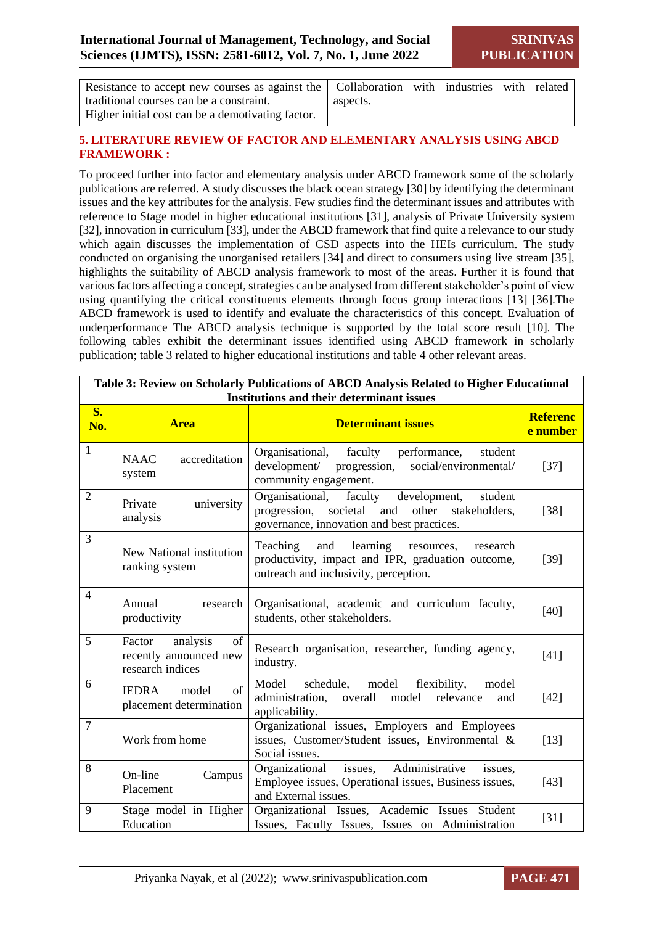| Resistance to accept new courses as against the Collaboration with industries with related |          |  |  |
|--------------------------------------------------------------------------------------------|----------|--|--|
| traditional courses can be a constraint.                                                   | aspects. |  |  |
| Higher initial cost can be a demotivating factor.                                          |          |  |  |

#### **5. LITERATURE REVIEW OF FACTOR AND ELEMENTARY ANALYSIS USING ABCD FRAMEWORK :**

To proceed further into factor and elementary analysis under ABCD framework some of the scholarly publications are referred. A study discusses the black ocean strategy [30] by identifying the determinant issues and the key attributes for the analysis. Few studies find the determinant issues and attributes with reference to Stage model in higher educational institutions [31], analysis of Private University system [32], innovation in curriculum [33], under the ABCD framework that find quite a relevance to our study which again discusses the implementation of CSD aspects into the HEIs curriculum. The study conducted on organising the unorganised retailers [34] and direct to consumers using live stream [35], highlights the suitability of ABCD analysis framework to most of the areas. Further it is found that various factors affecting a concept, strategies can be analysed from different stakeholder's point of view using quantifying the critical constituents elements through focus group interactions [13] [36].The ABCD framework is used to identify and evaluate the characteristics of this concept. Evaluation of underperformance The ABCD analysis technique is supported by the total score result [10]. The following tables exhibit the determinant issues identified using ABCD framework in scholarly publication; table 3 related to higher educational institutions and table 4 other relevant areas.

| <b>Institutions and their determinant issues</b> |                                                                                                                                                                           |                                                                                                                                                         |                             |  |  |
|--------------------------------------------------|---------------------------------------------------------------------------------------------------------------------------------------------------------------------------|---------------------------------------------------------------------------------------------------------------------------------------------------------|-----------------------------|--|--|
| S <sub>o</sub><br>No.                            | <b>Area</b>                                                                                                                                                               | <b>Determinant issues</b>                                                                                                                               | <b>Referenc</b><br>e number |  |  |
| $\mathbf{1}$                                     | accreditation<br><b>NAAC</b><br>system                                                                                                                                    | Organisational, faculty<br>performance,<br>student<br>development/ progression,<br>social/environmental/<br>community engagement.                       | $[37]$                      |  |  |
| $\overline{2}$                                   | university<br>Private<br>analysis                                                                                                                                         | Organisational, faculty<br>development,<br>student<br>progression, societal and<br>other<br>stakeholders,<br>governance, innovation and best practices. | $[38]$                      |  |  |
| 3                                                | New National institution<br>ranking system                                                                                                                                | and<br>learning resources,<br>Teaching<br>research<br>productivity, impact and IPR, graduation outcome,<br>outreach and inclusivity, perception.        | $[39]$                      |  |  |
| $\overline{4}$                                   | Annual<br>research<br>productivity                                                                                                                                        | Organisational, academic and curriculum faculty,<br>students, other stakeholders.                                                                       | $[40]$                      |  |  |
| 5                                                | Factor<br>analysis<br>of<br>recently announced new<br>research indices                                                                                                    | Research organisation, researcher, funding agency,<br>industry.                                                                                         | $[41]$                      |  |  |
| 6                                                | of<br><b>IEDRA</b><br>model<br>placement determination                                                                                                                    | Model<br>model<br>flexibility,<br>schedule,<br>model<br>administration,<br>overall model<br>relevance<br>and<br>applicability.                          | $[42]$                      |  |  |
| $\overline{7}$                                   | Work from home                                                                                                                                                            | Organizational issues, Employers and Employees<br>issues, Customer/Student issues, Environmental &<br>Social issues.                                    | $[13]$                      |  |  |
| 8                                                | Administrative<br>issues,<br>Organizational<br>issues.<br>On-line<br>Campus<br>Employee issues, Operational issues, Business issues,<br>Placement<br>and External issues. |                                                                                                                                                         |                             |  |  |
| 9                                                | Stage model in Higher<br>Education                                                                                                                                        | Organizational Issues, Academic Issues Student<br>Issues, Faculty Issues, Issues on Administration                                                      | [31]                        |  |  |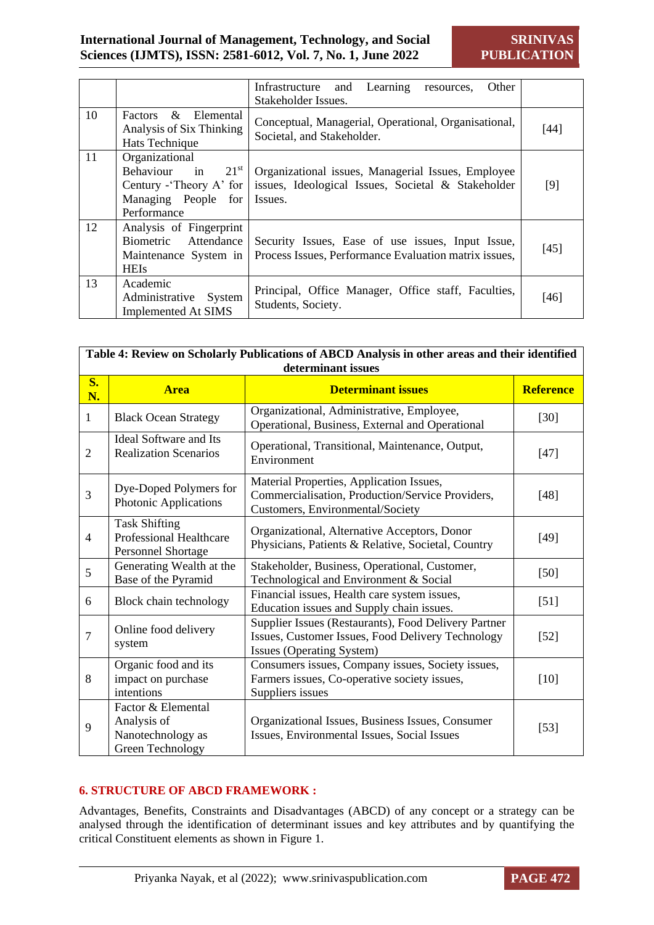|    |                                                                                                                  | Other<br>Learning<br>Infrastructure<br>and<br>resources.<br>Stakeholder Issues.                                     |        |
|----|------------------------------------------------------------------------------------------------------------------|---------------------------------------------------------------------------------------------------------------------|--------|
| 10 | Factors & Elemental<br>Analysis of Six Thinking<br>Hats Technique                                                | Conceptual, Managerial, Operational, Organisational,<br>Societal, and Stakeholder.                                  | [44]   |
| 11 | Organizational<br>$21^{\rm st}$<br>Behaviour in<br>Century - Theory A' for<br>Managing People for<br>Performance | Organizational issues, Managerial Issues, Employee<br>issues, Ideological Issues, Societal & Stakeholder<br>Issues. | $[9]$  |
| 12 | Analysis of Fingerprint<br>Biometric Attendance<br>Maintenance System in<br><b>HEIs</b>                          | Security Issues, Ease of use issues, Input Issue,<br>Process Issues, Performance Evaluation matrix issues,          | $[45]$ |
| 13 | Academic<br>Administrative<br>System<br><b>Implemented At SIMS</b>                                               | Principal, Office Manager, Office staff, Faculties,<br>Students, Society.                                           | $[46]$ |

|                 | Table 4: Review on Scholarly Publications of ABCD Analysis in other areas and their identified<br>determinant issues |                                                                                                                                        |                  |  |  |
|-----------------|----------------------------------------------------------------------------------------------------------------------|----------------------------------------------------------------------------------------------------------------------------------------|------------------|--|--|
| <b>S.</b><br>N. | <b>Area</b>                                                                                                          | <b>Determinant issues</b>                                                                                                              | <b>Reference</b> |  |  |
| 1               | <b>Black Ocean Strategy</b>                                                                                          | Organizational, Administrative, Employee,<br>Operational, Business, External and Operational                                           | $[30]$           |  |  |
| $\overline{2}$  | <b>Ideal Software and Its</b><br><b>Realization Scenarios</b>                                                        | Operational, Transitional, Maintenance, Output,<br>Environment                                                                         | $[47]$           |  |  |
| 3               | Dye-Doped Polymers for<br>Photonic Applications                                                                      | Material Properties, Application Issues,<br>Commercialisation, Production/Service Providers,<br>Customers, Environmental/Society       | $[48]$           |  |  |
| $\overline{4}$  | <b>Task Shifting</b><br><b>Professional Healthcare</b><br>Personnel Shortage                                         | Organizational, Alternative Acceptors, Donor<br>Physicians, Patients & Relative, Societal, Country                                     | $[49]$           |  |  |
| 5               | Generating Wealth at the<br>Base of the Pyramid                                                                      | Stakeholder, Business, Operational, Customer,<br>Technological and Environment & Social                                                | $[50]$           |  |  |
| 6               | Block chain technology                                                                                               | Financial issues, Health care system issues,<br>Education issues and Supply chain issues.                                              | $[51]$           |  |  |
| 7               | Online food delivery<br>system                                                                                       | Supplier Issues (Restaurants), Food Delivery Partner<br>Issues, Customer Issues, Food Delivery Technology<br>Issues (Operating System) | $[52]$           |  |  |
| 8               | Organic food and its<br>impact on purchase<br>intentions                                                             | Consumers issues, Company issues, Society issues,<br>Farmers issues, Co-operative society issues,<br>Suppliers issues                  | $[10]$           |  |  |
| 9               | Factor & Elemental<br>Analysis of<br>Nanotechnology as<br>Green Technology                                           | Organizational Issues, Business Issues, Consumer<br>Issues, Environmental Issues, Social Issues                                        | $[53]$           |  |  |

#### **6. STRUCTURE OF ABCD FRAMEWORK :**

Advantages, Benefits, Constraints and Disadvantages (ABCD) of any concept or a strategy can be analysed through the identification of determinant issues and key attributes and by quantifying the critical Constituent elements as shown in Figure 1.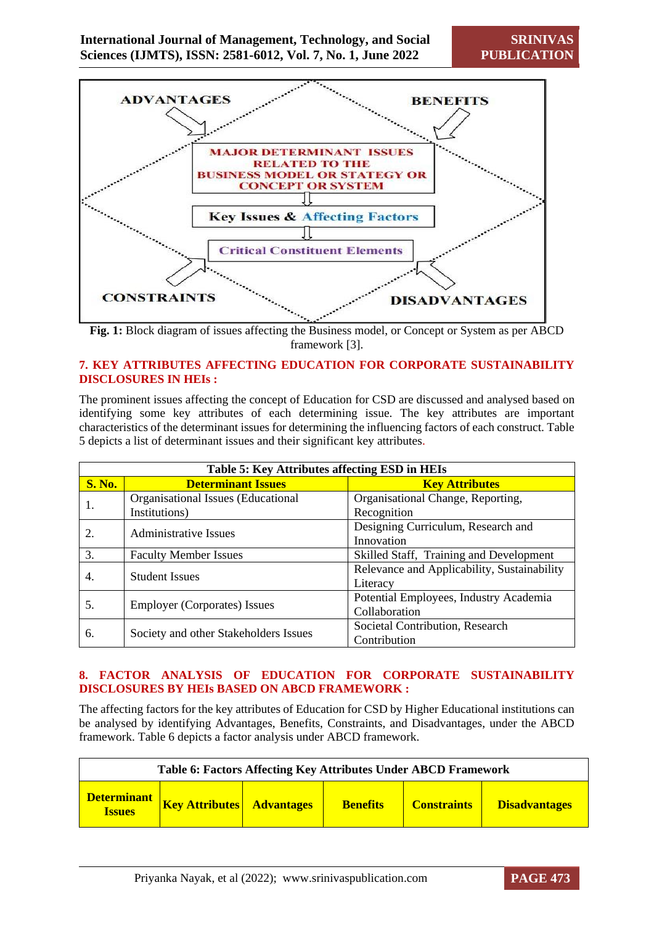

**Fig. 1:** Block diagram of issues affecting the Business model, or Concept or System as per ABCD framework [3].

#### **7. KEY ATTRIBUTES AFFECTING EDUCATION FOR CORPORATE SUSTAINABILITY DISCLOSURES IN HEIs :**

The prominent issues affecting the concept of Education for CSD are discussed and analysed based on identifying some key attributes of each determining issue. The key attributes are important characteristics of the determinant issues for determining the influencing factors of each construct. Table 5 depicts a list of determinant issues and their significant key attributes.

| Table 5: Key Attributes affecting ESD in HEIs |                                       |                                             |  |  |  |
|-----------------------------------------------|---------------------------------------|---------------------------------------------|--|--|--|
| <b>S. No.</b>                                 | <b>Determinant Issues</b>             | <b>Key Attributes</b>                       |  |  |  |
| 1.                                            | Organisational Issues (Educational    | Organisational Change, Reporting,           |  |  |  |
|                                               | Institutions)                         | Recognition                                 |  |  |  |
| 2.                                            | <b>Administrative Issues</b>          | Designing Curriculum, Research and          |  |  |  |
|                                               |                                       | Innovation                                  |  |  |  |
| 3.                                            | <b>Faculty Member Issues</b>          | Skilled Staff, Training and Development     |  |  |  |
| 4.                                            | <b>Student Issues</b>                 | Relevance and Applicability, Sustainability |  |  |  |
|                                               |                                       | Literacy                                    |  |  |  |
|                                               |                                       | Potential Employees, Industry Academia      |  |  |  |
| 5.                                            | <b>Employer (Corporates) Issues</b>   | Collaboration                               |  |  |  |
|                                               |                                       | Societal Contribution, Research             |  |  |  |
| 6.                                            | Society and other Stakeholders Issues | Contribution                                |  |  |  |

#### **8. FACTOR ANALYSIS OF EDUCATION FOR CORPORATE SUSTAINABILITY DISCLOSURES BY HEIs BASED ON ABCD FRAMEWORK :**

The affecting factors for the key attributes of Education for CSD by Higher Educational institutions can be analysed by identifying Advantages, Benefits, Constraints, and Disadvantages, under the ABCD framework. Table 6 depicts a factor analysis under ABCD framework.

| Table 6: Factors Affecting Key Attributes Under ABCD Framework |                                  |  |                 |                    |                      |  |  |
|----------------------------------------------------------------|----------------------------------|--|-----------------|--------------------|----------------------|--|--|
| <b>Determinant</b><br><b>Issues</b>                            | <b>Key Attributes</b> Advantages |  | <b>Benefits</b> | <b>Constraints</b> | <b>Disadvantages</b> |  |  |

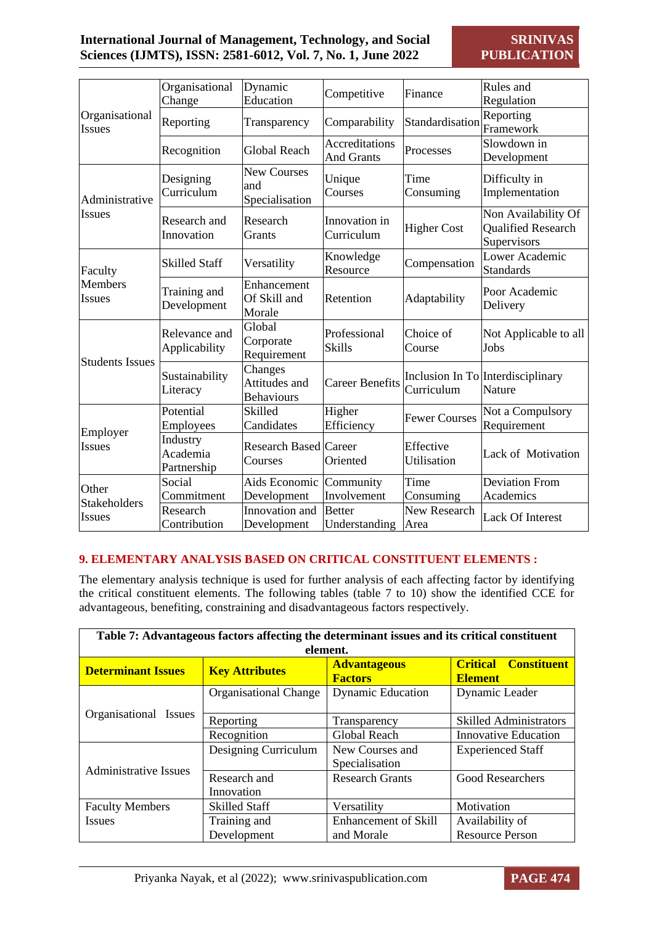|                           | Organisational                      | Dynamic                                       | Competitive                    | Finance                  | Rules and                                                |
|---------------------------|-------------------------------------|-----------------------------------------------|--------------------------------|--------------------------|----------------------------------------------------------|
|                           | Change                              | Education                                     |                                |                          | Regulation                                               |
| Organisational            | Reporting                           |                                               | Comparability                  | Standardisation          | Reporting                                                |
| <b>Issues</b>             |                                     | Transparency                                  |                                |                          | Framework                                                |
|                           |                                     |                                               | Accreditations                 |                          | Slowdown in                                              |
|                           | Recognition                         | <b>Global Reach</b>                           | <b>And Grants</b>              | Processes                | Development                                              |
|                           | Designing                           | <b>New Courses</b><br>and                     | Unique                         | Time                     | Difficulty in                                            |
| Administrative            | Curriculum                          | Specialisation                                | Courses                        | Consuming                | Implementation                                           |
| <b>Issues</b>             | Research and<br>Innovation          | Research<br>Grants                            | Innovation in<br>Curriculum    | <b>Higher Cost</b>       | Non Availability Of<br>Qualified Research<br>Supervisors |
| Faculty                   | <b>Skilled Staff</b>                | Versatility                                   | Knowledge<br>Resource          | Compensation             | Lower Academic<br><b>Standards</b>                       |
| <b>Members</b><br>Issues  | Training and<br>Development         | Enhancement<br>Of Skill and<br>Morale         | Retention                      | Adaptability             | Poor Academic<br>Delivery                                |
|                           | Relevance and<br>Applicability      | Global<br>Corporate<br>Requirement            | Professional<br><b>Skills</b>  | Choice of<br>Course      | Not Applicable to all<br>Jobs                            |
| <b>Students Issues</b>    | Sustainability<br>Literacy          | Changes<br>Attitudes and<br><b>Behaviours</b> | <b>Career Benefits</b>         | Curriculum               | Inclusion In To Interdisciplinary<br>Nature              |
|                           | Potential<br>Employees              | Skilled<br>Candidates                         | Higher<br>Efficiency           | <b>Fewer Courses</b>     | Not a Compulsory<br>Requirement                          |
| Employer<br><b>Issues</b> | Industry<br>Academia<br>Partnership | <b>Research Based Career</b><br>Courses       | Oriented                       | Effective<br>Utilisation | Lack of Motivation                                       |
|                           | Social                              | Aids Economic                                 | Community                      | Time                     | <b>Deviation From</b>                                    |
| Other                     | Commitment                          | Development                                   | Involvement                    | Consuming                | Academics                                                |
| Stakeholders<br>Issues    | Research<br>Contribution            | Innovation and<br>Development                 | <b>Better</b><br>Understanding | New Research<br>Area     | <b>Lack Of Interest</b>                                  |

#### **9. ELEMENTARY ANALYSIS BASED ON CRITICAL CONSTITUENT ELEMENTS :**

The elementary analysis technique is used for further analysis of each affecting factor by identifying the critical constituent elements. The following tables (table 7 to 10) show the identified CCE for advantageous, benefiting, constraining and disadvantageous factors respectively.

| Table 7: Advantageous factors affecting the determinant issues and its critical constituent |                              |                                       |                                                         |  |  |  |  |  |
|---------------------------------------------------------------------------------------------|------------------------------|---------------------------------------|---------------------------------------------------------|--|--|--|--|--|
|                                                                                             | element.                     |                                       |                                                         |  |  |  |  |  |
| <b>Determinant Issues</b>                                                                   | <b>Key Attributes</b>        | <b>Advantageous</b><br><b>Factors</b> | <b>Constituent</b><br><b>Critical</b><br><b>Element</b> |  |  |  |  |  |
|                                                                                             | <b>Organisational Change</b> | <b>Dynamic Education</b>              | Dynamic Leader                                          |  |  |  |  |  |
| Organisational Issues                                                                       | Reporting                    | Transparency                          | <b>Skilled Administrators</b>                           |  |  |  |  |  |
|                                                                                             | Recognition                  | Global Reach                          | <b>Innovative Education</b>                             |  |  |  |  |  |
|                                                                                             | Designing Curriculum         | New Courses and                       | <b>Experienced Staff</b>                                |  |  |  |  |  |
| <b>Administrative Issues</b>                                                                |                              | Specialisation                        |                                                         |  |  |  |  |  |
|                                                                                             | Research and                 | <b>Research Grants</b>                | Good Researchers                                        |  |  |  |  |  |
|                                                                                             | Innovation                   |                                       |                                                         |  |  |  |  |  |
| <b>Faculty Members</b>                                                                      | <b>Skilled Staff</b>         | Versatility                           | Motivation                                              |  |  |  |  |  |
| <b>Issues</b>                                                                               | Training and                 | <b>Enhancement of Skill</b>           | Availability of                                         |  |  |  |  |  |
|                                                                                             | Development                  | and Morale                            | <b>Resource Person</b>                                  |  |  |  |  |  |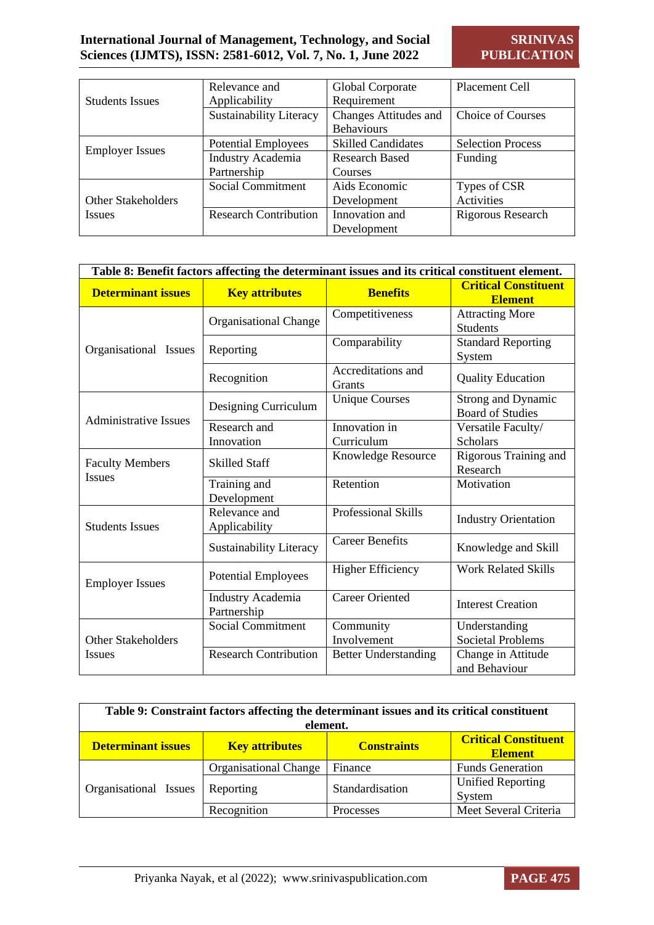|                           | Relevance and                  | Global Corporate             | Placement Cell           |
|---------------------------|--------------------------------|------------------------------|--------------------------|
| <b>Students Issues</b>    | Applicability                  | Requirement                  |                          |
|                           | <b>Sustainability Literacy</b> | <b>Changes Attitudes and</b> | Choice of Courses        |
|                           |                                | <b>Behaviours</b>            |                          |
|                           | <b>Potential Employees</b>     | <b>Skilled Candidates</b>    | <b>Selection Process</b> |
| <b>Employer Issues</b>    | Industry Academia              | <b>Research Based</b>        | Funding                  |
|                           | Partnership                    | Courses                      |                          |
|                           | Social Commitment              | Aids Economic                | Types of CSR             |
| <b>Other Stakeholders</b> |                                | Development                  | Activities               |
| <b>Issues</b>             | <b>Research Contribution</b>   | Innovation and               | Rigorous Research        |
|                           |                                | Development                  |                          |

|                              | Table 8: Benefit factors affecting the determinant issues and its critical constituent element. |                              |                                                      |  |  |  |
|------------------------------|-------------------------------------------------------------------------------------------------|------------------------------|------------------------------------------------------|--|--|--|
| <b>Determinant issues</b>    | <b>Key attributes</b>                                                                           | <b>Benefits</b>              | <b>Critical Constituent</b><br><b>Element</b>        |  |  |  |
|                              | Organisational Change                                                                           | Competitiveness              | <b>Attracting More</b><br><b>Students</b>            |  |  |  |
| Organisational Issues        | Reporting                                                                                       | Comparability                | <b>Standard Reporting</b><br>System                  |  |  |  |
|                              | Recognition                                                                                     | Accreditations and<br>Grants | <b>Quality Education</b>                             |  |  |  |
|                              | Designing Curriculum                                                                            | <b>Unique Courses</b>        | <b>Strong and Dynamic</b><br><b>Board of Studies</b> |  |  |  |
| <b>Administrative Issues</b> | Research and<br>Innovation                                                                      | Innovation in<br>Curriculum  | Versatile Faculty/<br><b>Scholars</b>                |  |  |  |
| <b>Faculty Members</b>       | <b>Skilled Staff</b>                                                                            | Knowledge Resource           | Rigorous Training and<br>Research                    |  |  |  |
| <b>Issues</b>                | Training and<br>Development                                                                     | Retention                    | Motivation                                           |  |  |  |
| <b>Students Issues</b>       | Relevance and<br>Applicability                                                                  | <b>Professional Skills</b>   | <b>Industry Orientation</b>                          |  |  |  |
|                              | <b>Sustainability Literacy</b>                                                                  | <b>Career Benefits</b>       | Knowledge and Skill                                  |  |  |  |
| <b>Employer Issues</b>       | <b>Potential Employees</b>                                                                      | <b>Higher Efficiency</b>     | <b>Work Related Skills</b>                           |  |  |  |
|                              | Industry Academia<br>Partnership                                                                | <b>Career Oriented</b>       | <b>Interest Creation</b>                             |  |  |  |
| <b>Other Stakeholders</b>    | <b>Social Commitment</b>                                                                        | Community<br>Involvement     | Understanding<br><b>Societal Problems</b>            |  |  |  |
| Issues                       | <b>Research Contribution</b>                                                                    | <b>Better Understanding</b>  | Change in Attitude<br>and Behaviour                  |  |  |  |

| Table 9: Constraint factors affecting the determinant issues and its critical constituent<br>element. |                              |                    |                                               |  |  |
|-------------------------------------------------------------------------------------------------------|------------------------------|--------------------|-----------------------------------------------|--|--|
| <b>Determinant issues</b>                                                                             | <b>Key attributes</b>        | <b>Constraints</b> | <b>Critical Constituent</b><br><b>Element</b> |  |  |
| Organisational Issues                                                                                 | <b>Organisational Change</b> | Finance            | <b>Funds Generation</b>                       |  |  |
|                                                                                                       | Reporting                    | Standardisation    | <b>Unified Reporting</b><br>System            |  |  |
|                                                                                                       | Recognition                  | Processes          | Meet Several Criteria                         |  |  |

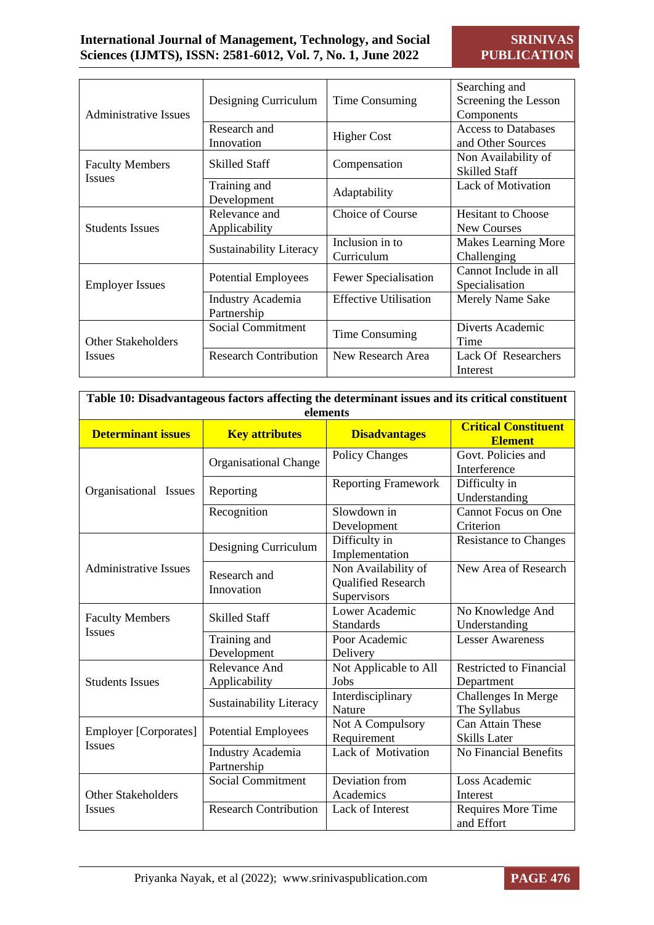| Administrative Issues                   | Designing Curriculum             | Time Consuming                | Searching and<br>Screening the Lesson<br>Components |
|-----------------------------------------|----------------------------------|-------------------------------|-----------------------------------------------------|
|                                         | Research and<br>Innovation       | <b>Higher Cost</b>            | <b>Access to Databases</b><br>and Other Sources     |
| <b>Faculty Members</b><br><b>Issues</b> | <b>Skilled Staff</b>             | Compensation                  | Non Availability of<br><b>Skilled Staff</b>         |
|                                         | Training and<br>Development      | Adaptability                  | <b>Lack of Motivation</b>                           |
| <b>Students Issues</b>                  | Relevance and<br>Applicability   | Choice of Course              | <b>Hesitant to Choose</b><br><b>New Courses</b>     |
|                                         | <b>Sustainability Literacy</b>   | Inclusion in to<br>Curriculum | Makes Learning More<br>Challenging                  |
| <b>Employer Issues</b>                  | <b>Potential Employees</b>       | <b>Fewer Specialisation</b>   | Cannot Include in all<br>Specialisation             |
|                                         | Industry Academia<br>Partnership | <b>Effective Utilisation</b>  | Merely Name Sake                                    |
| <b>Other Stakeholders</b>               | Social Commitment                | Time Consuming                | Diverts Academic<br>Time                            |
| <i>Issues</i>                           | <b>Research Contribution</b>     | New Research Area             | <b>Lack Of Researchers</b><br>Interest              |

| Table 10: Disadvantageous factors affecting the determinant issues and its critical constituent<br>elements |                                  |                                                          |                                                |  |  |
|-------------------------------------------------------------------------------------------------------------|----------------------------------|----------------------------------------------------------|------------------------------------------------|--|--|
| <b>Determinant issues</b>                                                                                   | <b>Key attributes</b>            | <b>Disadvantages</b>                                     | <b>Critical Constituent</b><br><b>Element</b>  |  |  |
|                                                                                                             | <b>Organisational Change</b>     | <b>Policy Changes</b>                                    | Govt. Policies and<br>Interference             |  |  |
| Organisational Issues                                                                                       | Reporting                        | <b>Reporting Framework</b>                               | Difficulty in<br>Understanding                 |  |  |
|                                                                                                             | Recognition                      | Slowdown in<br>Development                               | <b>Cannot Focus on One</b><br>Criterion        |  |  |
|                                                                                                             | Designing Curriculum             | Difficulty in<br>Implementation                          | <b>Resistance to Changes</b>                   |  |  |
| <b>Administrative Issues</b>                                                                                | Research and<br>Innovation       | Non Availability of<br>Qualified Research<br>Supervisors | New Area of Research                           |  |  |
| <b>Faculty Members</b><br>Issues                                                                            | <b>Skilled Staff</b>             | Lower Academic<br><b>Standards</b>                       | No Knowledge And<br>Understanding              |  |  |
|                                                                                                             | Training and<br>Development      | Poor Academic<br>Delivery                                | <b>Lesser Awareness</b>                        |  |  |
| <b>Students Issues</b>                                                                                      | Relevance And<br>Applicability   | Not Applicable to All<br>Jobs                            | <b>Restricted to Financial</b><br>Department   |  |  |
|                                                                                                             | <b>Sustainability Literacy</b>   | Interdisciplinary<br>Nature                              | Challenges In Merge<br>The Syllabus            |  |  |
| <b>Employer</b> [Corporates]                                                                                | <b>Potential Employees</b>       | Not A Compulsory<br>Requirement                          | <b>Can Attain These</b><br><b>Skills Later</b> |  |  |
| <b>Issues</b>                                                                                               | Industry Academia<br>Partnership | Lack of Motivation                                       | <b>No Financial Benefits</b>                   |  |  |
| <b>Other Stakeholders</b>                                                                                   | <b>Social Commitment</b>         | Deviation from<br>Academics                              | Loss Academic<br>Interest                      |  |  |
| <b>Issues</b>                                                                                               | <b>Research Contribution</b>     | Lack of Interest                                         | Requires More Time<br>and Effort               |  |  |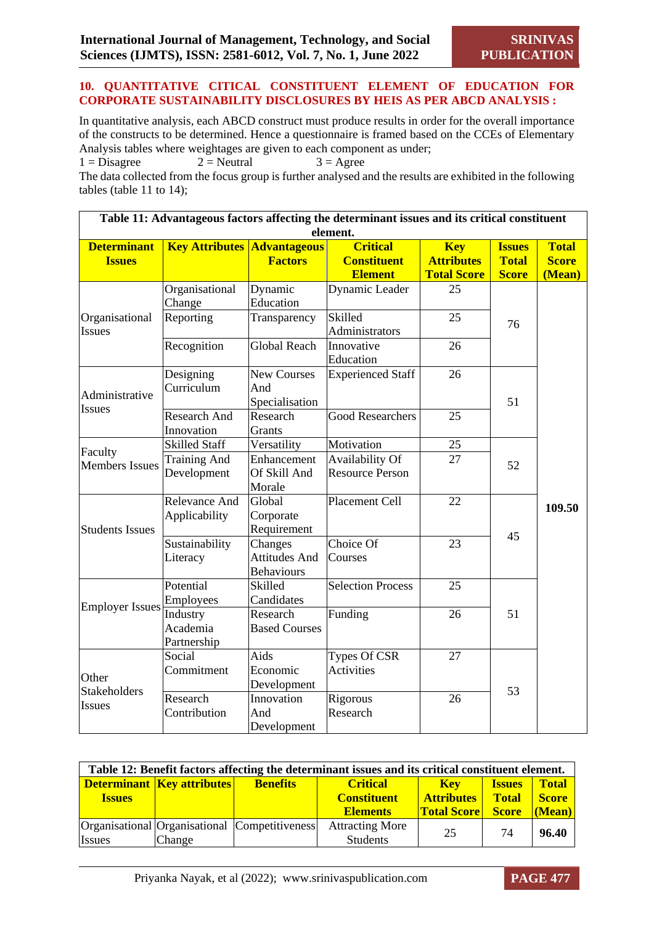#### **10. QUANTITATIVE CITICAL CONSTITUENT ELEMENT OF EDUCATION FOR CORPORATE SUSTAINABILITY DISCLOSURES BY HEIS AS PER ABCD ANALYSIS :**

In quantitative analysis, each ABCD construct must produce results in order for the overall importance of the constructs to be determined. Hence a questionnaire is framed based on the CCEs of Elementary Analysis tables where weightages are given to each component as under;<br> $1 = \text{Disagree}$   $2 = \text{Neutral}$   $3 = \text{Agree}$ 

 $1 = Disagree$  2 = Neutral  $3 = Agree$ 

The data collected from the focus group is further analysed and the results are exhibited in the following tables (table 11 to 14);

|                                     |                                     |                                               | Table 11: Advantageous factors affecting the determinant issues and its critical constituent<br>element. |                                                       |                                               |                                        |
|-------------------------------------|-------------------------------------|-----------------------------------------------|----------------------------------------------------------------------------------------------------------|-------------------------------------------------------|-----------------------------------------------|----------------------------------------|
| <b>Determinant</b><br><b>Issues</b> | <b>Key Attributes Advantageous</b>  | <b>Factors</b>                                | <b>Critical</b><br><b>Constituent</b><br><b>Element</b>                                                  | <b>Key</b><br><b>Attributes</b><br><b>Total Score</b> | <b>Issues</b><br><b>Total</b><br><b>Score</b> | <b>Total</b><br><b>Score</b><br>(Mean) |
|                                     | Organisational<br>Change            | Dynamic<br>Education                          | Dynamic Leader                                                                                           | 25                                                    |                                               |                                        |
| Organisational<br><b>Issues</b>     | Reporting                           | Transparency                                  | Skilled<br>Administrators                                                                                | 25                                                    | 76                                            |                                        |
|                                     | Recognition                         | <b>Global Reach</b>                           | Innovative<br>Education                                                                                  | 26                                                    |                                               |                                        |
| Administrative<br><b>Issues</b>     | Designing<br>Curriculum             | New Courses<br>And<br>Specialisation          | <b>Experienced Staff</b>                                                                                 | 26                                                    | 51                                            |                                        |
|                                     | <b>Research And</b><br>Innovation   | Research<br>Grants                            | <b>Good Researchers</b>                                                                                  | 25                                                    |                                               |                                        |
| Faculty<br><b>Members Issues</b>    | <b>Skilled Staff</b>                | Versatility                                   | Motivation                                                                                               | 25                                                    | 52                                            |                                        |
|                                     | <b>Training And</b><br>Development  | Enhancement<br>Of Skill And<br>Morale         | Availability Of<br><b>Resource Person</b>                                                                | 27                                                    |                                               |                                        |
| <b>Students Issues</b>              | Relevance And<br>Applicability      | Global<br>Corporate<br>Requirement            | Placement Cell                                                                                           | 22                                                    | 45                                            | 109.50                                 |
|                                     | Sustainability<br>Literacy          | Changes<br><b>Attitudes And</b><br>Behaviours | Choice Of<br>Courses                                                                                     | 23                                                    |                                               |                                        |
|                                     | Potential<br>Employees              | Skilled<br>Candidates                         | <b>Selection Process</b>                                                                                 | 25                                                    |                                               |                                        |
| <b>Employer Issues</b>              | Industry<br>Academia<br>Partnership | Research<br><b>Based Courses</b>              | Funding                                                                                                  | 26                                                    | 51                                            |                                        |
| Other                               | Social<br>Commitment                | Aids<br>Economic<br>Development               | Types Of CSR<br><b>Activities</b>                                                                        | 27                                                    |                                               |                                        |
| Stakeholders<br><b>Issues</b>       | Research<br>Contribution            | Innovation<br>And<br>Development              | Rigorous<br>Research                                                                                     | 26                                                    | 53                                            |                                        |

| Table 12: Benefit factors affecting the determinant issues and its critical constituent element. |                              |                                               |                                           |                    |               |              |  |
|--------------------------------------------------------------------------------------------------|------------------------------|-----------------------------------------------|-------------------------------------------|--------------------|---------------|--------------|--|
|                                                                                                  | Determinant   Key attributes | <b>Benefits</b>                               | <b>Critical</b>                           | <b>Kev</b>         | <b>Issues</b> | <b>Total</b> |  |
| <b>Issues</b>                                                                                    |                              |                                               | <b>Constituent</b>                        | <b>Attributes</b>  | Total         | <b>Score</b> |  |
|                                                                                                  |                              |                                               | <b>Elements</b>                           | <b>Total Score</b> | <b>Score</b>  | $Mean$       |  |
| <i>Issues</i>                                                                                    | <b>Change</b>                | Organisational Organisational Competitiveness | <b>Attracting More</b><br><b>Students</b> | 25                 | 74            | 96.40        |  |

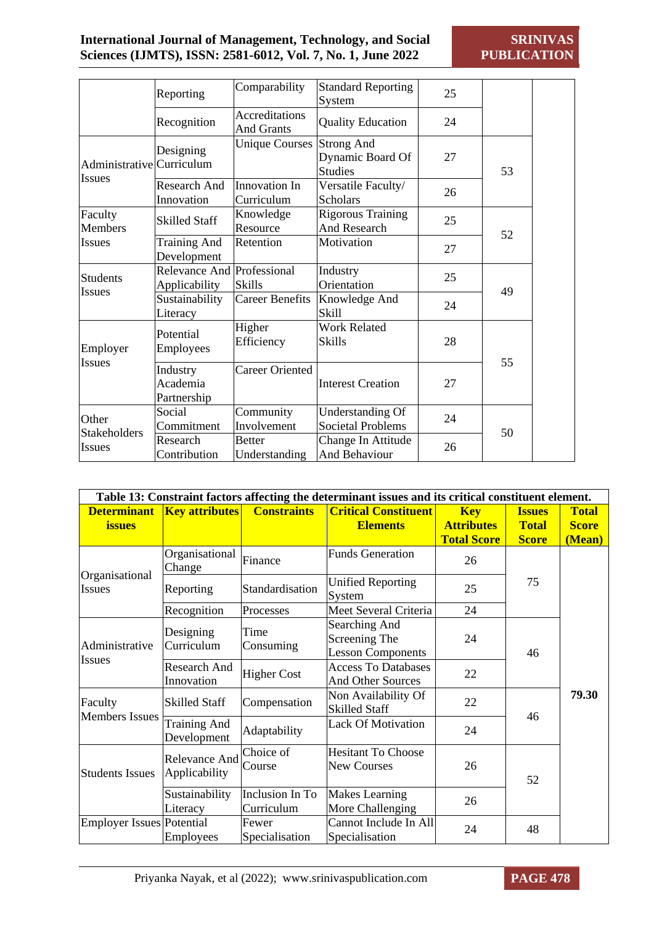|                               | Reporting                                   | Comparability                              | <b>Standard Reporting</b><br>System                     | 25 |    |  |
|-------------------------------|---------------------------------------------|--------------------------------------------|---------------------------------------------------------|----|----|--|
|                               | Recognition                                 | <b>Accreditations</b><br><b>And Grants</b> | <b>Quality Education</b>                                | 24 |    |  |
| Administrative Curriculum     | Designing                                   | <b>Unique Courses</b>                      | <b>Strong And</b><br>Dynamic Board Of<br><b>Studies</b> | 27 | 53 |  |
| Issues                        | Research And<br>Innovation                  | Innovation In<br>Curriculum                | Versatile Faculty/<br><b>Scholars</b>                   | 26 |    |  |
| Faculty<br><b>Members</b>     | <b>Skilled Staff</b>                        | Knowledge<br>Resource                      | <b>Rigorous Training</b><br>And Research                | 25 | 52 |  |
| <b>Issues</b>                 | <b>Training And</b><br>Development          | Retention                                  | Motivation                                              | 27 |    |  |
| Students<br><b>Issues</b>     | Relevance And Professional<br>Applicability | <b>Skills</b>                              | Industry<br>Orientation                                 | 25 | 49 |  |
|                               | Sustainability<br>Literacy                  | <b>Career Benefits</b>                     | Knowledge And<br>Skill                                  | 24 |    |  |
| Employer<br><b>Issues</b>     | Potential<br>Employees                      | Higher<br>Efficiency                       | <b>Work Related</b><br><b>Skills</b>                    | 28 |    |  |
|                               | Industry<br>Academia<br>Partnership         | Career Oriented                            | <b>Interest Creation</b>                                | 27 | 55 |  |
| Other                         | Social<br>Commitment                        | Community<br>Involvement                   | Understanding Of<br><b>Societal Problems</b>            | 24 | 50 |  |
| Stakeholders<br><b>Issues</b> | Research<br>Contribution                    | <b>Better</b><br>Understanding             | Change In Attitude<br>And Behaviour                     | 26 |    |  |

| Table 13: Constraint factors affecting the determinant issues and its critical constituent element. |                                    |                               |                                                            |                                                       |                                               |                                        |  |
|-----------------------------------------------------------------------------------------------------|------------------------------------|-------------------------------|------------------------------------------------------------|-------------------------------------------------------|-----------------------------------------------|----------------------------------------|--|
| <b>Determinant</b><br><b>issues</b>                                                                 | <b>Key attributes</b>              | <b>Constraints</b>            | <b>Critical Constituent</b><br><b>Elements</b>             | <b>Key</b><br><b>Attributes</b><br><b>Total Score</b> | <b>Issues</b><br><b>Total</b><br><b>Score</b> | <b>Total</b><br><b>Score</b><br>(Mean) |  |
|                                                                                                     | Organisational<br>Change           | Finance                       | <b>Funds Generation</b>                                    | 26                                                    |                                               |                                        |  |
| Organisational<br>Issues                                                                            | Reporting                          | Standardisation               | <b>Unified Reporting</b><br>System                         | 25                                                    | 75                                            |                                        |  |
|                                                                                                     | Recognition                        | Processes                     | Meet Several Criteria                                      | 24                                                    |                                               |                                        |  |
| Administrative<br><b>Issues</b>                                                                     | Designing<br>Curriculum            | Time<br>Consuming             | Searching And<br>Screening The<br><b>Lesson Components</b> | 24                                                    | 46                                            |                                        |  |
|                                                                                                     | Research And<br>Innovation         | <b>Higher Cost</b>            | <b>Access To Databases</b><br><b>And Other Sources</b>     | 22                                                    |                                               |                                        |  |
| Faculty<br><b>Members Issues</b>                                                                    | <b>Skilled Staff</b>               | Compensation                  | Non Availability Of<br><b>Skilled Staff</b>                | 22                                                    |                                               | 79.30                                  |  |
|                                                                                                     | <b>Training And</b><br>Development | Adaptability                  | <b>Lack Of Motivation</b>                                  | 24                                                    | 46                                            |                                        |  |
| <b>Students Issues</b>                                                                              | Relevance And<br>Applicability     | Choice of<br>Course           | <b>Hesitant To Choose</b><br><b>New Courses</b>            | 26                                                    | 52                                            |                                        |  |
|                                                                                                     | Sustainability<br>Literacy         | Inclusion In To<br>Curriculum | <b>Makes Learning</b><br>More Challenging                  | 26                                                    |                                               |                                        |  |
| Employer Issues Potential                                                                           | Employees                          | Fewer<br>Specialisation       | Cannot Include In All<br>Specialisation                    | 24                                                    | 48                                            |                                        |  |

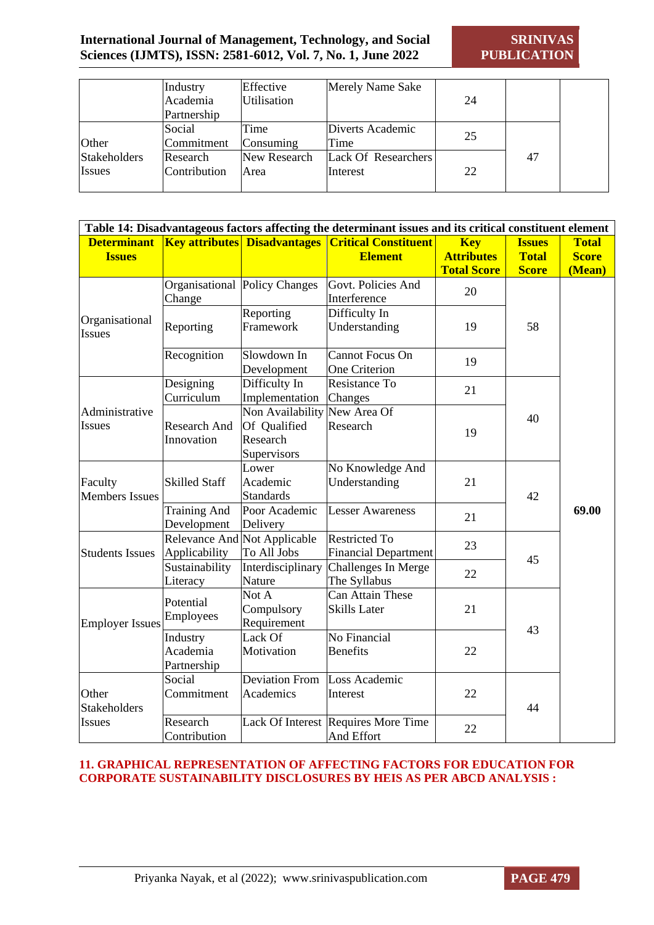**SRINIVAS PUBLICATION**

|               | Industry<br>Academia | Effective<br>Utilisation | <b>Merely Name Sake</b> | 24 |    |  |
|---------------|----------------------|--------------------------|-------------------------|----|----|--|
|               | Partnership          |                          |                         |    |    |  |
|               | Social               | Time                     | Diverts Academic        | 25 |    |  |
| Other         | Commitment           | Consuming                | Time                    |    |    |  |
| Stakeholders  | Research             | New Research             | Lack Of Researchers     |    | 47 |  |
| <b>Issues</b> | Contribution         | Area                     | Interest                | 22 |    |  |
|               |                      |                          |                         |    |    |  |

| Table 14: Disadvantageous factors affecting the determinant issues and its critical constituent element |                                     |                                                             |                                                     |                                                       |                                               |                                        |  |
|---------------------------------------------------------------------------------------------------------|-------------------------------------|-------------------------------------------------------------|-----------------------------------------------------|-------------------------------------------------------|-----------------------------------------------|----------------------------------------|--|
| <b>Determinant</b><br><b>Issues</b>                                                                     |                                     | <b>Key attributes Disadvantages</b>                         | <b>Critical Constituent</b><br><b>Element</b>       | <b>Key</b><br><b>Attributes</b><br><b>Total Score</b> | <b>Issues</b><br><b>Total</b><br><b>Score</b> | <b>Total</b><br><b>Score</b><br>(Mean) |  |
|                                                                                                         | Change                              | Organisational Policy Changes                               | Govt. Policies And<br>Interference                  | 20                                                    |                                               |                                        |  |
| Organisational<br><b>Issues</b>                                                                         | Reporting                           | Reporting<br>Framework                                      | Difficulty In<br>Understanding                      | 19                                                    | 58                                            |                                        |  |
|                                                                                                         | Recognition                         | Slowdown In<br>Development                                  | <b>Cannot Focus On</b><br>One Criterion             | 19                                                    |                                               |                                        |  |
|                                                                                                         | Designing<br>Curriculum             | Difficulty In<br>Implementation                             | Resistance To<br>Changes                            | 21                                                    |                                               |                                        |  |
| Administrative<br><b>Issues</b>                                                                         | Research And<br>Innovation          | Non Availability<br>Of Qualified<br>Research<br>Supervisors | New Area Of<br>Research                             | 19                                                    | 40                                            |                                        |  |
| Faculty<br><b>Members Issues</b>                                                                        | <b>Skilled Staff</b>                | Lower<br>Academic<br><b>Standards</b>                       | No Knowledge And<br>Understanding                   | 21                                                    | 42                                            | 69.00                                  |  |
|                                                                                                         | <b>Training And</b><br>Development  | Poor Academic<br>Delivery                                   | <b>Lesser Awareness</b>                             | 21                                                    |                                               |                                        |  |
| <b>Students Issues</b>                                                                                  | Relevance And<br>Applicability      | Not Applicable<br>To All Jobs                               | <b>Restricted To</b><br><b>Financial Department</b> | 23                                                    |                                               |                                        |  |
|                                                                                                         | Sustainability<br>Literacy          | Interdisciplinary<br>Nature                                 | Challenges In Merge<br>The Syllabus                 | 22                                                    | 45                                            |                                        |  |
| <b>Employer Issues</b>                                                                                  | Potential<br>Employees              | Not A<br>Compulsory<br>Requirement                          | Can Attain These<br><b>Skills Later</b>             | 21                                                    | 43                                            |                                        |  |
|                                                                                                         | Industry<br>Academia<br>Partnership | Lack Of<br>Motivation                                       | No Financial<br><b>Benefits</b>                     | 22                                                    |                                               |                                        |  |
| Other<br><b>Stakeholders</b>                                                                            | Social<br>Commitment                | <b>Deviation From</b><br>Academics                          | Loss Academic<br>Interest                           | 22                                                    | 44                                            |                                        |  |
| Issues                                                                                                  | Research<br>Contribution            |                                                             | Lack Of Interest Requires More Time<br>And Effort   | 22                                                    |                                               |                                        |  |

#### **11. GRAPHICAL REPRESENTATION OF AFFECTING FACTORS FOR EDUCATION FOR CORPORATE SUSTAINABILITY DISCLOSURES BY HEIS AS PER ABCD ANALYSIS :**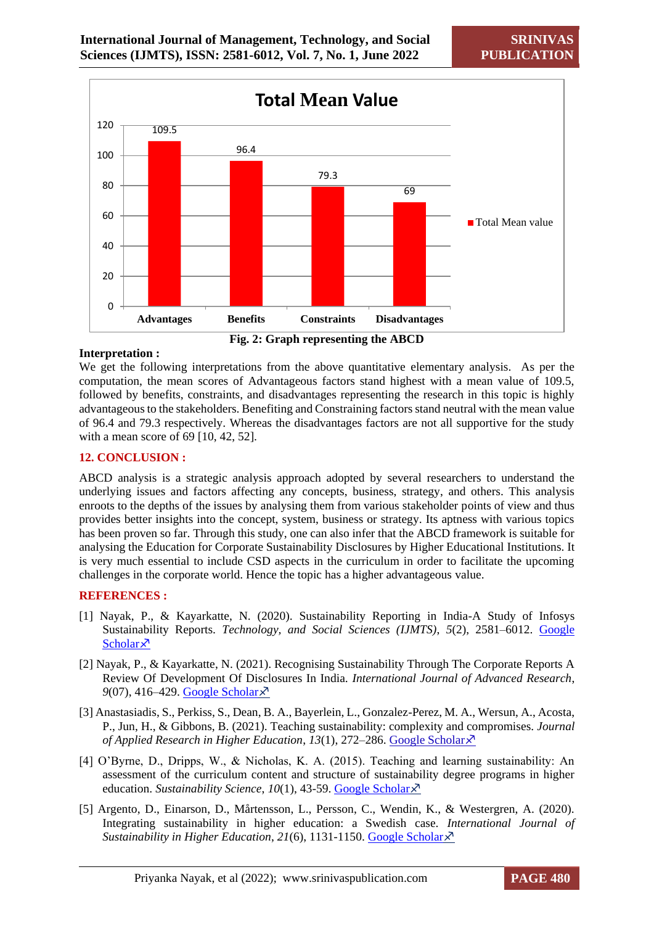**SRINIV PUBLICATION**



**Fig. 2: Graph representing the ABCD**

#### **Interpretation :**

We get the following interpretations from the above quantitative elementary analysis. As per the computation, the mean scores of Advantageous factors stand highest with a mean value of 109.5, followed by benefits, constraints, and disadvantages representing the research in this topic is highly advantageous to the stakeholders. Benefiting and Constraining factors stand neutral with the mean value of 96.4 and 79.3 respectively. Whereas the disadvantages factors are not all supportive for the study with a mean score of 69 [10, 42, 52].

#### **12. CONCLUSION :**

ABCD analysis is a strategic analysis approach adopted by several researchers to understand the underlying issues and factors affecting any concepts, business, strategy, and others. This analysis enroots to the depths of the issues by analysing them from various stakeholder points of view and thus provides better insights into the concept, system, business or strategy. Its aptness with various topics has been proven so far. Through this study, one can also infer that the ABCD framework is suitable for analysing the Education for Corporate Sustainability Disclosures by Higher Educational Institutions. It is very much essential to include CSD aspects in the curriculum in order to facilitate the upcoming challenges in the corporate world. Hence the topic has a higher advantageous value.

#### **REFERENCES :**

- [1] Nayak, P., & Kayarkatte, N. (2020). Sustainability Reporting in India-A Study of Infosys Sustainability Reports. *Technology, and Social Sciences (IJMTS)*, *5*(2), 2581–6012. [Google](https://scholar.google.co.in/scholar?hl=en&as_sdt=0%2C5&q=Sustainability+Reporting+in+India-A+Study+of+Infosys+Sustainability+Reports&btnG=)  [Scholar](https://scholar.google.co.in/scholar?hl=en&as_sdt=0%2C5&q=Sustainability+Reporting+in+India-A+Study+of+Infosys+Sustainability+Reports&btnG=) $\lambda$
- [2] Nayak, P., & Kayarkatte, N. (2021). Recognising Sustainability Through The Corporate Reports A Review Of Development Of Disclosures In India. *International Journal of Advanced Research*, *9*(07), 416–429. [Google Scholar](https://scholar.google.co.in/scholar?hl=en&as_sdt=0%2C5&q=Recognising+Sustainability+Through+The+Corporate+Reports+A+Review+Of+Development+Of+Disclosures+In+India&btnG=)
- [3] Anastasiadis, S., Perkiss, S., Dean, B. A., Bayerlein, L., Gonzalez-Perez, M. A., Wersun, A., Acosta, P., Jun, H., & Gibbons, B. (2021). Teaching sustainability: complexity and compromises. *Journal of Applied Research in Higher Education*, *13*(1), 272–286. [Google Scholar](https://scholar.google.co.in/scholar?hl=en&as_sdt=0%2C5&q=Teaching+sustainability%3A+complexity+and+compromises&btnG=)
- [4] O'Byrne, D., Dripps, W., & Nicholas, K. A. (2015). Teaching and learning sustainability: An assessment of the curriculum content and structure of sustainability degree programs in higher education. *Sustainability Science*, *10*(1), 43-59. [Google Scholar](https://scholar.google.co.in/scholar?hl=en&as_sdt=0%2C5&q=Teaching+and+learning+sustainability%3A+An+assessment+of+the+curriculum+content+and+structure+of+sustainability+degree+programs+in+higher+education&btnG=)
- [5] Argento, D., Einarson, D., Mårtensson, L., Persson, C., Wendin, K., & Westergren, A. (2020). Integrating sustainability in higher education: a Swedish case. *International Journal of Sustainability in Higher Education*, *21*(6), 1131-1150. [Google Scholar](https://scholar.google.co.in/scholar?hl=en&as_sdt=0%2C5&q=Integrating+sustainability+in+higher+education%3A+a+Swedish+case&btnG=)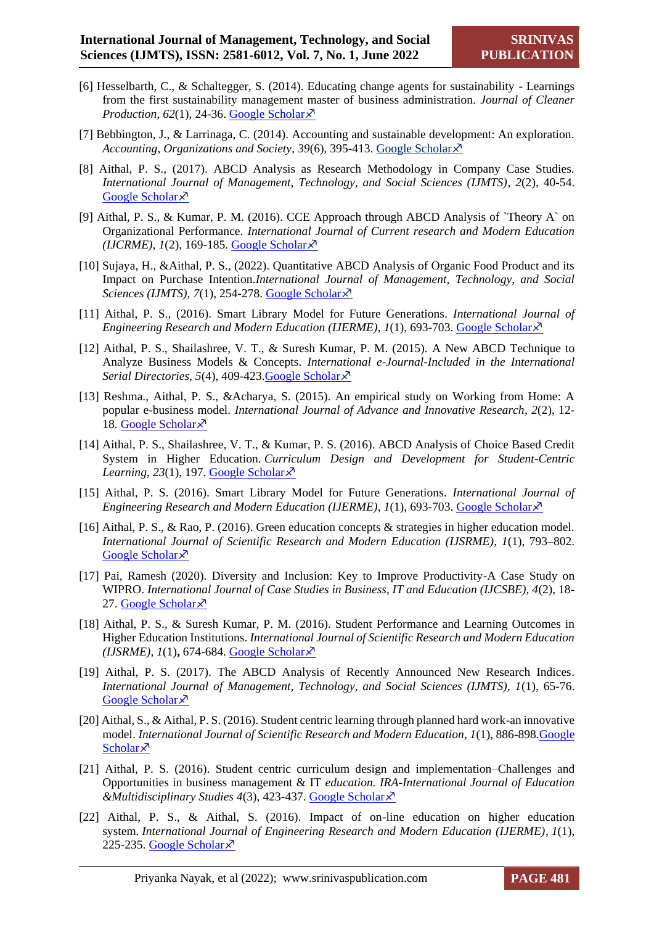- [6] Hesselbarth, C., & Schaltegger, S. (2014). Educating change agents for sustainability Learnings from the first sustainability management master of business administration. *Journal of Cleaner Production*,  $62(1)$ , 24-36. [Google Scholar](https://scholar.google.co.in/scholar?hl=en&as_sdt=0%2C5&q=Educating+change+agents+for+sustainability+-+Learnings+from+the+first+sustainability+management+master+of+business+administration&btnG=) $\chi^7$
- [7] Bebbington, J., & Larrinaga, C. (2014). Accounting and sustainable development: An exploration. *Accounting, Organizations and Society*, *39*(6), 395-413. [Google Scholar](https://scholar.google.co.in/scholar?hl=en&as_sdt=0%2C5&q=Accounting+and+sustainable+development%3A+An+exploration&btnG=)
- [8] Aithal, P. S., (2017). ABCD Analysis as Research Methodology in Company Case Studies. *International Journal of Management, Technology, and Social Sciences (IJMTS)*, *2*(2), 40-54. [Google Scholar](https://scholar.google.co.in/scholar?hl=en&as_sdt=0%2C5&q=ABCD+Analysis+as+Research+Methodology+in+Company+Case+Studies&btnG=) ×<sup>7</sup>
- [9] Aithal, P. S., & Kumar, P. M. (2016). CCE Approach through ABCD Analysis of `Theory A` on Organizational Performance. *International Journal of Current research and Modern Education*   $(IJCRME)$ ,  $1(2)$ , 169-185. [Google Scholar](https://scholar.google.co.in/scholar?hl=en&as_sdt=0%2C5&q=CCE+Approach+through+ABCD+Analysis+of+%60Theory+A%60+on+Organizational+Performance&btnG=) $\chi^2$
- [10] Sujaya, H., &Aithal, P. S., (2022). Quantitative ABCD Analysis of Organic Food Product and its Impact on Purchase Intention.*International Journal of Management, Technology, and Social Sciences (IJMTS), 7*(1), 254-278. [Google Scholar](https://scholar.google.co.in/scholar?hl=en&as_sdt=0%2C5&q=Quantitative+ABCD+Analysis+of+Organic+Food+Product+and+its+Impact+on+Purchase+Intention&btnG=)
- [11] Aithal, P. S., (2016). Smart Library Model for Future Generations. *International Journal of Engineering Research and Modern Education (IJERME),*  $I(1)$ *, 693-703. [Google Scholar](https://scholar.google.co.in/scholar?hl=en&as_sdt=0%2C5&q=Smart+Library+Model+for+Future+Generations&btnG=)* $\lambda$
- [12] Aithal, P. S., Shailashree, V. T., & Suresh Kumar, P. M. (2015). A New ABCD Technique to Analyze Business Models & Concepts. *International e-Journal-Included in the International Serial Directories*, *5*(4), 409-423[.Google Scholar](https://scholar.google.co.in/scholar?hl=en&as_sdt=0%2C5&q=A+New+ABCD+Technique+to+Analyze+Business+Models+%26+Concepts&btnG=)
- [13] Reshma., Aithal, P. S., &Acharya, S. (2015). An empirical study on Working from Home: A popular e-business model. *International Journal of Advance and Innovative Research*, *2*(2), 12- 18. [Google Scholar](https://scholar.google.co.in/scholar?as_q=An+empirical+study+on+Working+from+Home%3A+A+popular+e-business+model&as_epq=&as_oq=&as_eq=&as_occt=any&as_sauthors=&as_publication=&as_ylo=&as_yhi=&hl=en&as_sdt=0%2C5) $\times$
- [14] Aithal, P. S., Shailashree, V. T., & Kumar, P. S. (2016). ABCD Analysis of Choice Based Credit System in Higher Education. *Curriculum Design and Development for Student-Centric Learning*, 23(1), 197. [Google Scholar](https://scholar.google.co.in/scholar?hl=en&as_sdt=0%2C5&q=ABCD+Analysis+of+Choice+Based+Credit+System+in+Higher+Education.&btnG=) ×
- [15] Aithal, P. S. (2016). Smart Library Model for Future Generations. *International Journal of Engineering Research and Modern Education (IJERME), 1(1), 693-703. [Google Scholar](https://scholar.google.co.in/scholar?hl=en&as_sdt=0%2C5&q=Smart+Library+Model+for+Future+Generations&btn)* $\lambda$
- [16] Aithal, P. S., & Rao, P. (2016). Green education concepts & strategies in higher education model. *International Journal of Scientific Research and Modern Education (IJSRME)*, *1*(1), 793–802. [Google Scholar](https://scholar.google.co.in/scholar?hl=en&as_sdt=0%2C5&q=Green+education+concepts+%26+strategies+in+higher+education+model&btnG=)<sup> $\lambda$ </sup>
- [17] Pai, Ramesh (2020). Diversity and Inclusion: Key to Improve Productivity-A Case Study on WIPRO. *International Journal of Case Studies in Business, IT and Education (IJCSBE), 4*(2), 18- 27. [Google Scholar](https://scholar.google.co.in/scholar?hl=en&as_sdt=0%2C5&q=Diversity+and+Inclusion%3A+Key+to+Improve+Productivity-A+Case+Study+on+WIPRO&btnG=) $\lambda$
- [18] Aithal, P. S., & Suresh Kumar, P. M. (2016). Student Performance and Learning Outcomes in Higher Education Institutions. *International Journal of Scientific Research and Modern Education*   $(IJSRME), 1(1), 674-684. Google Scholar<sup>3</sup>$  $(IJSRME), 1(1), 674-684. Google Scholar<sup>3</sup>$  $(IJSRME), 1(1), 674-684. Google Scholar<sup>3</sup>$
- [19] Aithal, P. S. (2017). The ABCD Analysis of Recently Announced New Research Indices. *International Journal of Management, Technology, and Social Sciences (IJMTS), 1*(1), 65-76. [Google Scholar](https://scholar.google.co.in/scholar?hl=en&as_sdt=0%2C5&q=The+ABCD+Analysis+of+Recently+Announced+New+Research+Indices&btnG=) ×
- [20] Aithal, S., & Aithal, P. S. (2016). Student centric learning through planned hard work-an innovative model. *International Journal of Scientific Research and Modern Education, 1*(1), 886-898*.*[Google](https://scholar.google.co.in/scholar?hl=en&as_sdt=0%2C5&q=Student+centric+learning+through+planned+hard+work-an+innovative+model&btnG=)  [Scholar](https://scholar.google.co.in/scholar?hl=en&as_sdt=0%2C5&q=Student+centric+learning+through+planned+hard+work-an+innovative+model&btnG=) $\lambda$
- [21] Aithal, P. S. (2016). Student centric curriculum design and implementation–Challenges and Opportunities in business management & IT *education. IRA-International Journal of Education &Multidisciplinary Studies 4*(3), 423-437. [Google Scholar](https://scholar.google.co.in/scholar?hl=en&as_sdt=0%2C5&q=Student+centric+curriculum+design+and+implementation%E2%80%93Challenges+and+Opportunities+in+business+management+%26+IT+education.&btnG=)
- [22] Aithal, P. S., & Aithal, S. (2016). Impact of on-line education on higher education system. *International Journal of Engineering Research and Modern Education (IJERME)*, *1*(1), 225-235. [Google Scholar](https://scholar.google.co.in/scholar?hl=en&as_sdt=0%2C5&q=IMPACT+OF+ON-LINE+EDUCATION+ON+HIGHER+EDUCATION+SYSTEM.&btnG=) $\overline{\mathcal{X}}$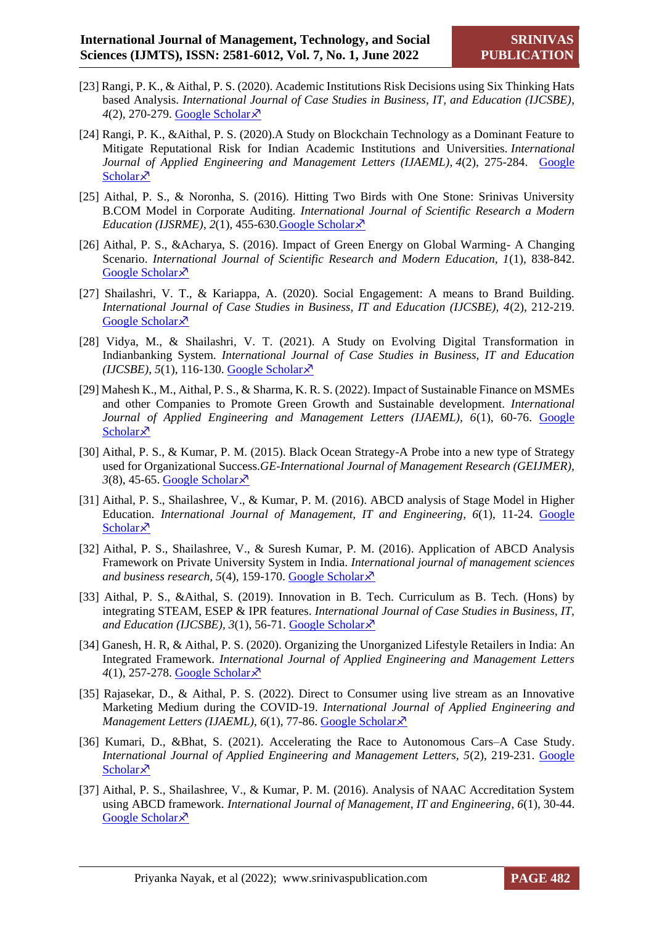- [23] Rangi, P. K., & Aithal, P. S. (2020). Academic Institutions Risk Decisions using Six Thinking Hats based Analysis. *International Journal of Case Studies in Business, IT, and Education (IJCSBE)*, *4*(2), 270-279. [Google Scholar](https://scholar.google.co.in/scholar?hl=en&as_sdt=0%2C5&q=Academic+Institutions+Risk+Decisions+using+Six+Thinking+Hats+based+Analysis&btnG=)
- [24] Rangi, P. K., &Aithal, P. S. (2020).A Study on Blockchain Technology as a Dominant Feature to Mitigate Reputational Risk for Indian Academic Institutions and Universities. *International Journal of Applied Engineering and Management Letters (IJAEML)*, *4*(2), 275-284. [Google](https://scholar.google.co.in/scholar?hl=en&as_sdt=0%2C5&q=A+Study+on+Blockchain+Technology+as+a+Dominant+Feature+to+Mitigate+Reputational+Risk+for+Indian+Academic+Institutions+and+Universities&btnG=)  [Scholar](https://scholar.google.co.in/scholar?hl=en&as_sdt=0%2C5&q=A+Study+on+Blockchain+Technology+as+a+Dominant+Feature+to+Mitigate+Reputational+Risk+for+Indian+Academic+Institutions+and+Universities&btnG=) $\times$
- [25] Aithal, P. S., & Noronha, S. (2016). Hitting Two Birds with One Stone: Srinivas University B.COM Model in Corporate Auditing. *International Journal of Scientific Research a Modern Education (IJSRME)*,  $2(1)$ ,  $455-630$ . Google Scholar  $\lambda$ <sup>7</sup>
- [26] Aithal, P. S., &Acharya, S. (2016). Impact of Green Energy on Global Warming- A Changing Scenario. *International Journal of Scientific Research and Modern Education, 1*(1), 838-842. [Google Scholar](https://scholar.google.co.in/scholar?hl=en&as_sdt=0%2C5&q=Impact+of+Green+Energy+on+Global+Warming-+A+Changing+Scenario&btnG=)<sup> $\lambda$ </sup>
- [27] Shailashri, V. T., & Kariappa, A. (2020). Social Engagement: A means to Brand Building. *International Journal of Case Studies in Business, IT and Education (IJCSBE), 4*(2), 212-219. [Google Scholar](https://scholar.google.co.in/scholar?hl=en&as_sdt=0%2C5&q=Social+Engagement%3A+A+means+to+Brand+Building&btnG=) ×
- [28] Vidya, M., & Shailashri, V. T. (2021). A Study on Evolving Digital Transformation in Indianbanking System. *International Journal of Case Studies in Business, IT and Education (IJCSBE),* 5(1), 116-130. [Google Scholar](https://scholar.google.co.in/scholar?hl=en&as_sdt=0%2C5&q=vidya%2C+Shailashri%2C+V.+T.+2021&btnG=) $\lambda$ <sup>7</sup>
- [29] Mahesh K., M., Aithal, P. S., & Sharma, K. R. S. (2022). Impact of Sustainable Finance on MSMEs and other Companies to Promote Green Growth and Sustainable development. *International Journal of Applied Engineering and Management Letters (IJAEML), 6*(1), 60-76. [Google](https://scholar.google.co.in/scholar?hl=en&as_sdt=0%2C5&q=Impact+of+Sustainable+Finance+on+MSMEs+and+other+Companies+to+Promote+Green+Growth+and+Sustainable+development&btnG=)  [Scholar](https://scholar.google.co.in/scholar?hl=en&as_sdt=0%2C5&q=Impact+of+Sustainable+Finance+on+MSMEs+and+other+Companies+to+Promote+Green+Growth+and+Sustainable+development&btnG=) $\times$
- [30] Aithal, P. S., & Kumar, P. M. (2015). Black Ocean Strategy-A Probe into a new type of Strategy used for Organizational Success.*GE-International Journal of Management Research (GEIJMER),*   $3(8)$ , 45-65. [Google Scholar](https://scholar.google.co.in/scholar?hl=en&as_sdt=0%2C5&q=Black+Ocean+Strategy-A+Probe+into+a+new+type+of+Strategy+used+for+Organizational+Success&btnG=) $\overline{\chi}$ <sup>3</sup>
- [31] Aithal, P. S., Shailashree, V., & Kumar, P. M. (2016). ABCD analysis of Stage Model in Higher Education. *International Journal of Management, IT and Engineering*, *6*(1), 11-24. [Google](https://scholar.google.co.in/scholar?hl=en&as_sdt=0%2C5&q=ABCD+analysis+of+Stage+Model+in+Higher+Education&btnG=)  [Scholar](https://scholar.google.co.in/scholar?hl=en&as_sdt=0%2C5&q=ABCD+analysis+of+Stage+Model+in+Higher+Education&btnG=) $\times$
- [32] Aithal, P. S., Shailashree, V., & Suresh Kumar, P. M. (2016). Application of ABCD Analysis Framework on Private University System in India. *International journal of management sciences*  and business research, 5(4), 159-170. [Google Scholar](https://scholar.google.co.in/scholar?hl=en&as_sdt=0%2C5&q=Application+of+ABCD+Analysis+Framework+on+Private+University+System+in+India&btnG=) ×
- [33] Aithal, P. S., &Aithal, S. (2019). Innovation in B. Tech. Curriculum as B. Tech. (Hons) by integrating STEAM, ESEP & IPR features. *International Journal of Case Studies in Business, IT,*  and Education (IJCSBE),  $3(1)$ , 56-71. [Google Scholar](https://scholar.google.co.in/scholar?hl=en&as_sdt=0%2C5&q=Innovation+in+B.+Tech.+Curriculum+as+B.+Tech.+%28Hons%29+by+integrating+STEAM%2C+ESEP+%26+IPR+features.+&btnG=) $\chi$ <sup>7</sup>
- [34] Ganesh, H. R, & Aithal, P. S. (2020). Organizing the Unorganized Lifestyle Retailers in India: An Integrated Framework. *International Journal of Applied Engineering and Management Letters 4*(1), 257-278. [Google Scholar](https://scholar.google.co.in/scholar?hl=en&as_sdt=0%2C5&q=Organizing+the+Unorganized+Lifestyle+Retailers+in+India%3A+An+Integrated+Framework.+&btnG=)
- [35] Rajasekar, D., & Aithal, P. S. (2022). Direct to Consumer using live stream as an Innovative Marketing Medium during the COVID-19. *International Journal of Applied Engineering and Management Letters (IJAEML), 6(1), 77-86. [Google Scholar](https://scholar.google.co.in/scholar?hl=en&as_sdt=0%2C5&q=Direct+to+Consumer+using+live+stream+as+an+Innovative+Marketing+Medium+during+the+COVID-19+&btnG=)*  $\times$
- [36] Kumari, D., &Bhat, S. (2021). Accelerating the Race to Autonomous Cars–A Case Study. *International Journal of Applied Engineering and Management Letters, 5*(2), 219-231. [Google](https://scholar.google.co.in/scholar?hl=en&as_sdt=0%2C5&q=Accelerating+the+Race+to+Autonomous+Cars%E2%80%93A+Case+Study.+&btnG=)  [Scholar](https://scholar.google.co.in/scholar?hl=en&as_sdt=0%2C5&q=Accelerating+the+Race+to+Autonomous+Cars%E2%80%93A+Case+Study.+&btnG=) $\lambda$
- [37] Aithal, P. S., Shailashree, V., & Kumar, P. M. (2016). Analysis of NAAC Accreditation System using ABCD framework. *International Journal of Management, IT and Engineering*, *6*(1), 30-44. [Google Scholar](https://scholar.google.co.in/scholar?hl=en&as_sdt=0%2C5&q=Analysis+of+NAAC+Accreditation+System+using+ABCD+framework&btnG=) ×